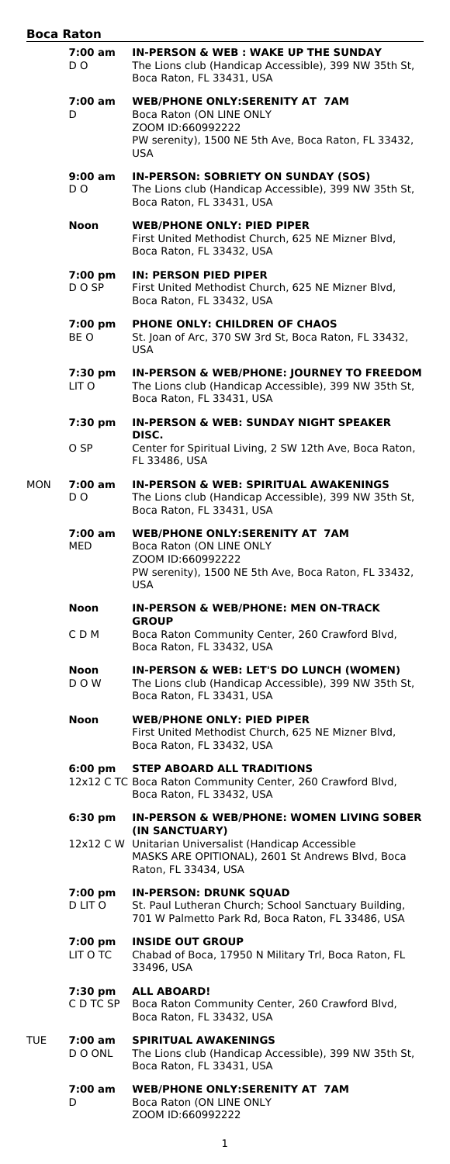| Boca Raton |                      |                                                                                                                                                              |
|------------|----------------------|--------------------------------------------------------------------------------------------------------------------------------------------------------------|
|            | 7:00 am<br>D O       | <b>IN-PERSON &amp; WEB: WAKE UP THE SUNDAY</b><br>The Lions club (Handicap Accessible), 399 NW 35th St,<br>Boca Raton, FL 33431, USA                         |
|            | 7:00 am<br>D         | <b>WEB/PHONE ONLY:SERENITY AT 7AM</b><br>Boca Raton (ON LINE ONLY<br>ZOOM ID:660992222<br>PW serenity), 1500 NE 5th Ave, Boca Raton, FL 33432,<br><b>USA</b> |
|            | 9:00 am<br>D O       | IN-PERSON: SOBRIETY ON SUNDAY (SOS)<br>The Lions club (Handicap Accessible), 399 NW 35th St,<br>Boca Raton, FL 33431, USA                                    |
|            | Noon                 | <b>WEB/PHONE ONLY: PIED PIPER</b><br>First United Methodist Church, 625 NE Mizner Blvd,<br>Boca Raton, FL 33432, USA                                         |
|            | 7:00 pm<br>D O SP    | <b>IN: PERSON PIED PIPER</b><br>First United Methodist Church, 625 NE Mizner Blvd,<br>Boca Raton, FL 33432, USA                                              |
|            | 7:00 pm<br>BE O      | <b>PHONE ONLY: CHILDREN OF CHAOS</b><br>St. Joan of Arc, 370 SW 3rd St, Boca Raton, FL 33432,<br><b>USA</b>                                                  |
|            | 7:30 pm<br>LIT O     | IN-PERSON & WEB/PHONE: JOURNEY TO FREEDOM<br>The Lions club (Handicap Accessible), 399 NW 35th St,<br>Boca Raton, FL 33431, USA                              |
|            | 7:30 pm              | IN-PERSON & WEB: SUNDAY NIGHT SPEAKER                                                                                                                        |
|            | O SP                 | DISC.<br>Center for Spiritual Living, 2 SW 12th Ave, Boca Raton,<br>FL 33486, USA                                                                            |
| MON        | 7:00 am<br>D O       | <b>IN-PERSON &amp; WEB: SPIRITUAL AWAKENINGS</b><br>The Lions club (Handicap Accessible), 399 NW 35th St,<br>Boca Raton, FL 33431, USA                       |
|            | 7:00 am<br>MED       | <b>WEB/PHONE ONLY:SERENITY AT 7AM</b><br>Boca Raton (ON LINE ONLY<br>ZOOM ID:660992222<br>PW serenity), 1500 NE 5th Ave, Boca Raton, FL 33432,<br>USA        |
|            | Noon                 | <b>IN-PERSON &amp; WEB/PHONE: MEN ON-TRACK</b>                                                                                                               |
|            | C D M                | <b>GROUP</b><br>Boca Raton Community Center, 260 Crawford Blvd,<br>Boca Raton, FL 33432, USA                                                                 |
|            | Noon<br>D O W        | IN-PERSON & WEB: LET'S DO LUNCH (WOMEN)<br>The Lions club (Handicap Accessible), 399 NW 35th St,<br>Boca Raton, FL 33431, USA                                |
|            | Noon                 | <b>WEB/PHONE ONLY: PIED PIPER</b><br>First United Methodist Church, 625 NE Mizner Blvd,<br>Boca Raton, FL 33432, USA                                         |
|            | 6:00 pm              | <b>STEP ABOARD ALL TRADITIONS</b><br>12x12 C TC Boca Raton Community Center, 260 Crawford Blvd,<br>Boca Raton, FL 33432, USA                                 |
|            | $6:30 \text{ pm}$    | <b>IN-PERSON &amp; WEB/PHONE: WOMEN LIVING SOBER</b>                                                                                                         |
|            |                      | (IN SANCTUARY)<br>12x12 C W Unitarian Universalist (Handicap Accessible<br>MASKS ARE OPITIONAL), 2601 St Andrews Blvd, Boca<br>Raton, FL 33434, USA          |
|            | 7:00 pm<br>D LIT O   | <b>IN-PERSON: DRUNK SQUAD</b><br>St. Paul Lutheran Church; School Sanctuary Building,<br>701 W Palmetto Park Rd, Boca Raton, FL 33486, USA                   |
|            | 7:00 pm<br>LIT O TC  | <b>INSIDE OUT GROUP</b><br>Chabad of Boca, 17950 N Military Trl, Boca Raton, FL<br>33496, USA                                                                |
|            | 7:30 pm<br>C D TC SP | <b>ALL ABOARD!</b><br>Boca Raton Community Center, 260 Crawford Blvd,<br>Boca Raton, FL 33432, USA                                                           |
| TUE        | 7:00 am<br>D O ONL   | <b>SPIRITUAL AWAKENINGS</b><br>The Lions club (Handicap Accessible), 399 NW 35th St,<br>Boca Raton, FL 33431, USA                                            |
|            | 7:00 am<br>D         | <b>WEB/PHONE ONLY:SERENITY AT 7AM</b><br>Boca Raton (ON LINE ONLY<br>ZOOM ID:660992222                                                                       |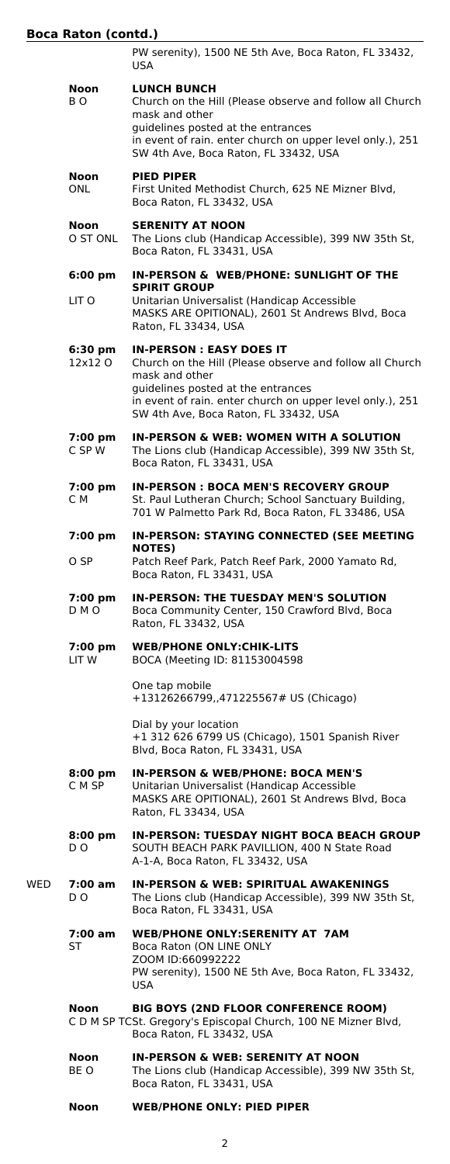# **Boca Raton (contd.)**

|     |                              | PW serenity), 1500 NE 5th Ave, Boca Raton, FL 33432,<br><b>USA</b>                                                                                                                                                                                       |
|-----|------------------------------|----------------------------------------------------------------------------------------------------------------------------------------------------------------------------------------------------------------------------------------------------------|
|     | Noon<br>BO.                  | <b>LUNCH BUNCH</b><br>Church on the Hill (Please observe and follow all Church<br>mask and other<br>guidelines posted at the entrances<br>in event of rain. enter church on upper level only.), 251<br>SW 4th Ave, Boca Raton, FL 33432, USA             |
|     | Noon<br><b>ONL</b>           | <b>PIED PIPER</b><br>First United Methodist Church, 625 NE Mizner Blvd,<br>Boca Raton, FL 33432, USA                                                                                                                                                     |
|     | Noon<br>O ST ONL             | <b>SERENITY AT NOON</b><br>The Lions club (Handicap Accessible), 399 NW 35th St,<br>Boca Raton, FL 33431, USA                                                                                                                                            |
|     | $6:00 \text{ pm}$            | IN-PERSON & WEB/PHONE: SUNLIGHT OF THE                                                                                                                                                                                                                   |
|     | LIT O                        | <b>SPIRIT GROUP</b><br>Unitarian Universalist (Handicap Accessible<br>MASKS ARE OPITIONAL), 2601 St Andrews Blvd, Boca<br>Raton, FL 33434, USA                                                                                                           |
|     | $6:30 \text{ pm}$<br>12x12 O | <b>IN-PERSON: EASY DOES IT</b><br>Church on the Hill (Please observe and follow all Church<br>mask and other<br>guidelines posted at the entrances<br>in event of rain. enter church on upper level only.), 251<br>SW 4th Ave, Boca Raton, FL 33432, USA |
|     | 7:00 pm<br>C SP W            | <b>IN-PERSON &amp; WEB: WOMEN WITH A SOLUTION</b><br>The Lions club (Handicap Accessible), 399 NW 35th St,<br>Boca Raton, FL 33431, USA                                                                                                                  |
|     | 7:00 pm<br>C M               | <b>IN-PERSON: BOCA MEN'S RECOVERY GROUP</b><br>St. Paul Lutheran Church; School Sanctuary Building,<br>701 W Palmetto Park Rd, Boca Raton, FL 33486, USA                                                                                                 |
|     | 7:00 pm                      | IN-PERSON: STAYING CONNECTED (SEE MEETING<br><b>NOTES</b> )                                                                                                                                                                                              |
|     | O SP                         | Patch Reef Park, Patch Reef Park, 2000 Yamato Rd,<br>Boca Raton, FL 33431, USA                                                                                                                                                                           |
|     | 7:00 pm<br>D M O             | IN-PERSON: THE TUESDAY MEN'S SOLUTION<br>Boca Community Center, 150 Crawford Blvd, Boca<br>Raton, FL 33432, USA                                                                                                                                          |
|     | 7:00 pm<br>LIT W             | <b>WEB/PHONE ONLY: CHIK-LITS</b><br>BOCA (Meeting ID: 81153004598                                                                                                                                                                                        |
|     |                              | One tap mobile<br>+13126266799,,471225567# US (Chicago)                                                                                                                                                                                                  |
|     |                              | Dial by your location<br>+1 312 626 6799 US (Chicago), 1501 Spanish River<br>Blvd, Boca Raton, FL 33431, USA                                                                                                                                             |
|     | 8:00 pm<br>C M SP            | <b>IN-PERSON &amp; WEB/PHONE: BOCA MEN'S</b><br>Unitarian Universalist (Handicap Accessible<br>MASKS ARE OPITIONAL), 2601 St Andrews Blvd, Boca<br>Raton, FL 33434, USA                                                                                  |
|     | $8:00 \text{ pm}$<br>D O     | <b>IN-PERSON: TUESDAY NIGHT BOCA BEACH GROUP</b><br>SOUTH BEACH PARK PAVILLION, 400 N State Road<br>A-1-A, Boca Raton, FL 33432, USA                                                                                                                     |
| WED | 7:00 am<br>D O               | <b>IN-PERSON &amp; WEB: SPIRITUAL AWAKENINGS</b><br>The Lions club (Handicap Accessible), 399 NW 35th St,<br>Boca Raton, FL 33431, USA                                                                                                                   |
|     | 7:00 am<br>ST                | <b>WEB/PHONE ONLY:SERENITY AT 7AM</b><br>Boca Raton (ON LINE ONLY<br>ZOOM ID:660992222<br>PW serenity), 1500 NE 5th Ave, Boca Raton, FL 33432,<br>USA                                                                                                    |
|     | Noon                         | <b>BIG BOYS (2ND FLOOR CONFERENCE ROOM)</b><br>C D M SP TCSt. Gregory's Episcopal Church, 100 NE Mizner Blvd,<br>Boca Raton, FL 33432, USA                                                                                                               |
|     | Noon<br>BE O                 | <b>IN-PERSON &amp; WEB: SERENITY AT NOON</b><br>The Lions club (Handicap Accessible), 399 NW 35th St,<br>Boca Raton, FL 33431, USA                                                                                                                       |
|     | Noon                         | <b>WEB/PHONE ONLY: PIED PIPER</b>                                                                                                                                                                                                                        |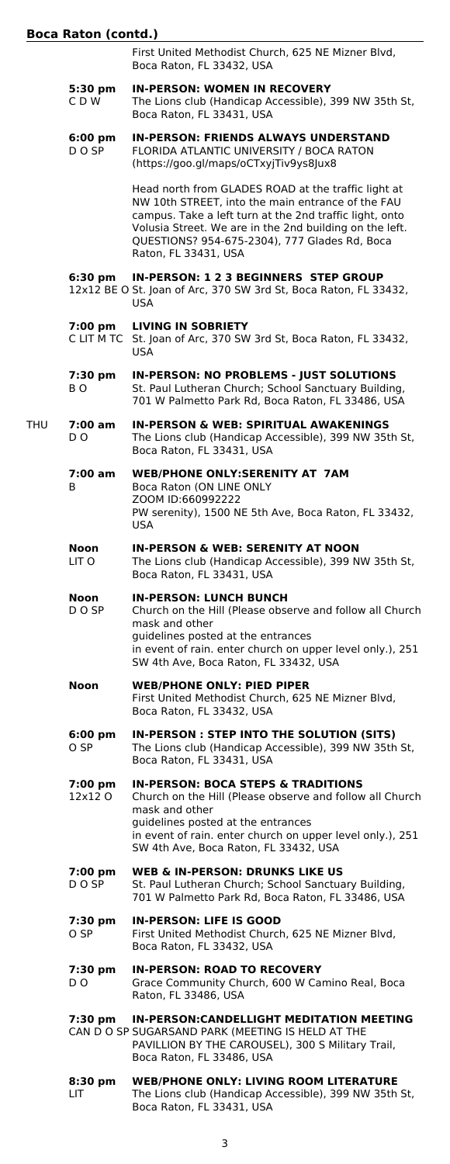First United Methodist Church, 625 NE Mizner Blvd, Boca Raton, FL 33432, USA

- **5:30 pm IN-PERSON: WOMEN IN RECOVERY** C D W The Lions club (Handicap Accessible), 399 NW 35th St, Boca Raton, FL 33431, USA
- **6:00 pm IN-PERSON: FRIENDS ALWAYS UNDERSTAND** D O SP FLORIDA ATLANTIC UNIVERSITY / BOCA RATON (https://goo.gl/maps/oCTxyjTiv9ys8Jux8

Head north from GLADES ROAD at the traffic light at NW 10th STREET, into the main entrance of the FAU campus. Take a left turn at the 2nd traffic light, onto Volusia Street. We are in the 2nd building on the left. QUESTIONS? 954-675-2304), 777 Glades Rd, Boca Raton, FL 33431, USA

#### **6:30 pm IN-PERSON: 1 2 3 BEGINNERS STEP GROUP**

12x12 BE O St. Joan of Arc, 370 SW 3rd St, Boca Raton, FL 33432, USA

- **7:00 pm LIVING IN SOBRIETY**
	- St. Joan of Arc, 370 SW 3rd St, Boca Raton, FL 33432, USA
- **7:30 pm IN-PERSON: NO PROBLEMS JUST SOLUTIONS** B O St. Paul Lutheran Church; School Sanctuary Building, 701 W Palmetto Park Rd, Boca Raton, FL 33486, USA
- THU **7:00 am IN-PERSON & WEB: SPIRITUAL AWAKENINGS** D O The Lions club (Handicap Accessible), 399 NW 35th St, Boca Raton, FL 33431, USA
	- **7:00 am WEB/PHONE ONLY:SERENITY AT 7AM** B Boca Raton (ON LINE ONLY ZOOM ID:660992222 PW serenity), 1500 NE 5th Ave, Boca Raton, FL 33432, USA
	- **Noon IN-PERSON & WEB: SERENITY AT NOON** LIT O The Lions club (Handicap Accessible), 399 NW 35th St, Boca Raton, FL 33431, USA
	- **Noon <b>IN-PERSON: LUNCH BUNCH**<br>DOSP Church on the Hill (Please obse Church on the Hill (Please observe and follow all Church mask and other guidelines posted at the entrances in event of rain. enter church on upper level only.), 251 SW 4th Ave, Boca Raton, FL 33432, USA
	- **Noon WEB/PHONE ONLY: PIED PIPER** First United Methodist Church, 625 NE Mizner Blvd, Boca Raton, FL 33432, USA
	- **6:00 pm IN-PERSON : STEP INTO THE SOLUTION (SITS)** O SP The Lions club (Handicap Accessible), 399 NW 35th St, Boca Raton, FL 33431, USA

**7:00 pm IN-PERSON: BOCA STEPS & TRADITIONS** Church on the Hill (Please observe and follow all Church mask and other guidelines posted at the entrances in event of rain. enter church on upper level only.), 251 SW 4th Ave, Boca Raton, FL 33432, USA

- **7:00 pm WEB & IN-PERSON: DRUNKS LIKE US** St. Paul Lutheran Church; School Sanctuary Building, 701 W Palmetto Park Rd, Boca Raton, FL 33486, USA
- **7:30 pm IN-PERSON: LIFE IS GOOD** O SP First United Methodist Church, 625 NE Mizner Blvd, Boca Raton, FL 33432, USA
- **7:30 pm IN-PERSON: ROAD TO RECOVERY** D O Grace Community Church, 600 W Camino Real, Boca Raton, FL 33486, USA
- **7:30 pm IN-PERSON:CANDELLIGHT MEDITATION MEETING** CAN D O SP SUGARSAND PARK (MEETING IS HELD AT THE PAVILLION BY THE CAROUSEL), 300 S Military Trail, Boca Raton, FL 33486, USA
- **8:30 pm WEB/PHONE ONLY: LIVING ROOM LITERATURE** LIT The Lions club (Handicap Accessible), 399 NW 35th St, Boca Raton, FL 33431, USA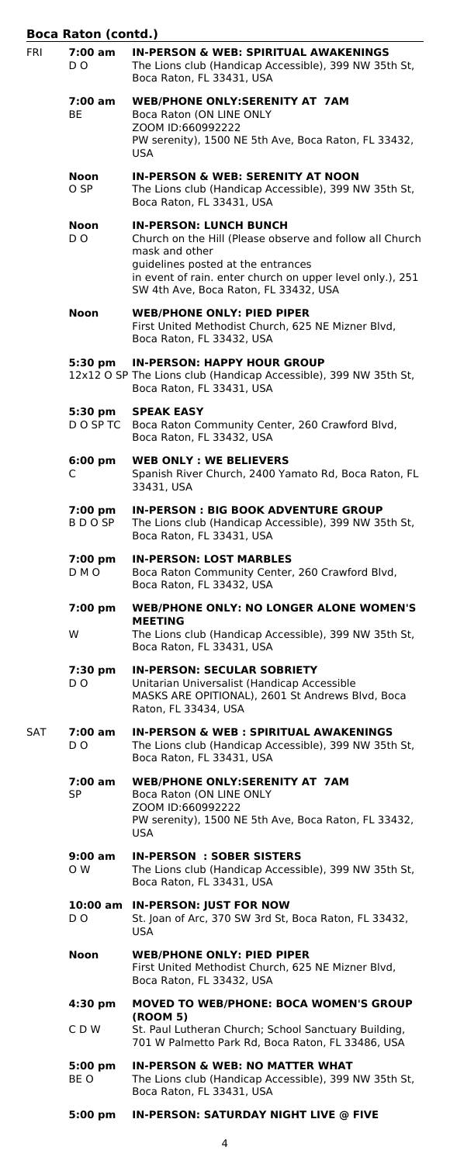|            | <b>Boca Raton (contd.)</b> |                                                                                                                                                                                                                                                         |
|------------|----------------------------|---------------------------------------------------------------------------------------------------------------------------------------------------------------------------------------------------------------------------------------------------------|
| <b>FRI</b> | 7:00 am<br>D O             | <b>IN-PERSON &amp; WEB: SPIRITUAL AWAKENINGS</b><br>The Lions club (Handicap Accessible), 399 NW 35th St,<br>Boca Raton, FL 33431, USA                                                                                                                  |
|            | 7:00 am<br>BE              | <b>WEB/PHONE ONLY:SERENITY AT 7AM</b><br>Boca Raton (ON LINE ONLY<br>ZOOM ID:660992222<br>PW serenity), 1500 NE 5th Ave, Boca Raton, FL 33432,<br><b>USA</b>                                                                                            |
|            | Noon<br>O SP               | <b>IN-PERSON &amp; WEB: SERENITY AT NOON</b><br>The Lions club (Handicap Accessible), 399 NW 35th St,<br>Boca Raton, FL 33431, USA                                                                                                                      |
|            | Noon<br>DO.                | <b>IN-PERSON: LUNCH BUNCH</b><br>Church on the Hill (Please observe and follow all Church<br>mask and other<br>guidelines posted at the entrances<br>in event of rain. enter church on upper level only.), 251<br>SW 4th Ave, Boca Raton, FL 33432, USA |
|            | Noon                       | <b>WEB/PHONE ONLY: PIED PIPER</b><br>First United Methodist Church, 625 NE Mizner Blvd,<br>Boca Raton, FL 33432, USA                                                                                                                                    |
|            | 5:30 pm                    | <b>IN-PERSON: HAPPY HOUR GROUP</b><br>12x12 O SP The Lions club (Handicap Accessible), 399 NW 35th St,<br>Boca Raton, FL 33431, USA                                                                                                                     |
|            | 5:30 pm<br>DO SP TC        | <b>SPEAK EASY</b><br>Boca Raton Community Center, 260 Crawford Blvd,<br>Boca Raton, FL 33432, USA                                                                                                                                                       |
|            | $6:00 \text{ pm}$<br>C     | <b>WEB ONLY: WE BELIEVERS</b><br>Spanish River Church, 2400 Yamato Rd, Boca Raton, FL<br>33431, USA                                                                                                                                                     |
|            | 7:00 pm<br>B D O SP        | <b>IN-PERSON: BIG BOOK ADVENTURE GROUP</b><br>The Lions club (Handicap Accessible), 399 NW 35th St,<br>Boca Raton, FL 33431, USA                                                                                                                        |
|            | 7:00 pm<br>D M O           | <b>IN-PERSON: LOST MARBLES</b><br>Boca Raton Community Center, 260 Crawford Blvd,<br>Boca Raton, FL 33432, USA                                                                                                                                          |
|            | 7:00 pm                    | <b>WEB/PHONE ONLY: NO LONGER ALONE WOMEN'S</b>                                                                                                                                                                                                          |
|            | W                          | <b>MEETING</b><br>The Lions club (Handicap Accessible), 399 NW 35th St,<br>Boca Raton, FL 33431, USA                                                                                                                                                    |
|            | 7:30 pm<br>D O             | <b>IN-PERSON: SECULAR SOBRIETY</b><br>Unitarian Universalist (Handicap Accessible<br>MASKS ARE OPITIONAL), 2601 St Andrews Blvd, Boca<br>Raton, FL 33434, USA                                                                                           |
| SAT        | 7:00 am<br>D O             | <b>IN-PERSON &amp; WEB: SPIRITUAL AWAKENINGS</b><br>The Lions club (Handicap Accessible), 399 NW 35th St,<br>Boca Raton, FL 33431, USA                                                                                                                  |
|            | 7:00 am<br>SP              | <b>WEB/PHONE ONLY:SERENITY AT 7AM</b><br>Boca Raton (ON LINE ONLY<br>ZOOM ID:660992222<br>PW serenity), 1500 NE 5th Ave, Boca Raton, FL 33432,<br>USA                                                                                                   |
|            | 9:00 am<br>O W             | <b>IN-PERSON : SOBER SISTERS</b><br>The Lions club (Handicap Accessible), 399 NW 35th St,<br>Boca Raton, FL 33431, USA                                                                                                                                  |
|            | D O                        | 10:00 am IN-PERSON: JUST FOR NOW<br>St. Joan of Arc, 370 SW 3rd St, Boca Raton, FL 33432,<br><b>USA</b>                                                                                                                                                 |
|            | Noon                       | <b>WEB/PHONE ONLY: PIED PIPER</b><br>First United Methodist Church, 625 NE Mizner Blvd,<br>Boca Raton, FL 33432, USA                                                                                                                                    |
|            | 4:30 pm                    | <b>MOVED TO WEB/PHONE: BOCA WOMEN'S GROUP</b>                                                                                                                                                                                                           |
|            | C D W                      | (ROOM 5)<br>St. Paul Lutheran Church; School Sanctuary Building,<br>701 W Palmetto Park Rd, Boca Raton, FL 33486, USA                                                                                                                                   |
|            | 5:00 pm<br>BE O            | <b>IN-PERSON &amp; WEB: NO MATTER WHAT</b><br>The Lions club (Handicap Accessible), 399 NW 35th St,<br>Boca Raton, FL 33431, USA                                                                                                                        |
|            | 5:00 pm                    | <b>IN-PERSON: SATURDAY NIGHT LIVE @ FIVE</b>                                                                                                                                                                                                            |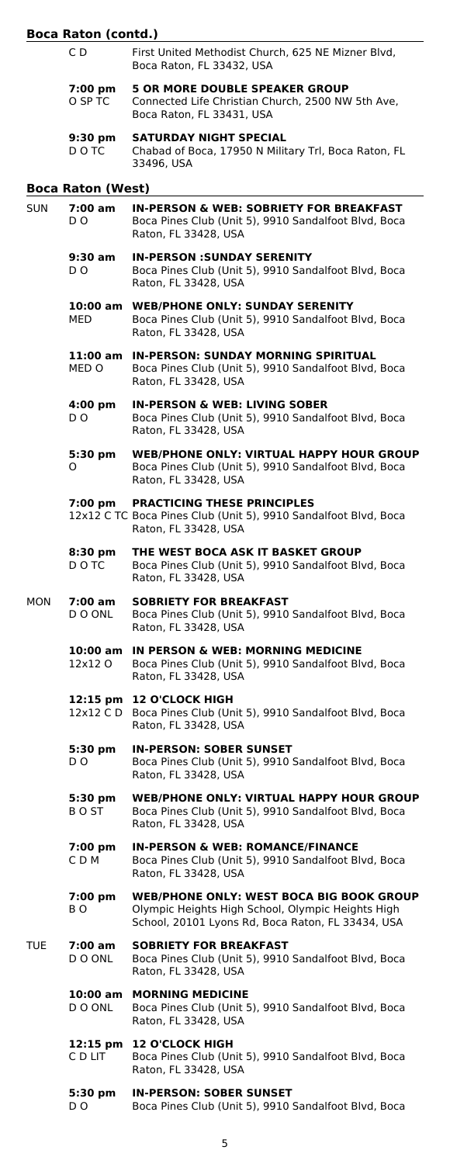#### **Boca Raton (contd.)**

- C D First United Methodist Church, 625 NE Mizner Blvd, Boca Raton, FL 33432, USA **7:00 pm 5 OR MORE DOUBLE SPEAKER GROUP**
- O SP TC Connected Life Christian Church, 2500 NW 5th Ave, Boca Raton, FL 33431, USA **9:30 pm SATURDAY NIGHT SPECIAL**

D O TC Chabad of Boca, 17950 N Military Trl, Boca Raton, FL 33496, USA

#### **Boca Raton (West)**

| SUN  | 7:00 am<br>D O           | <b>IN-PERSON &amp; WEB: SOBRIETY FOR BREAKFAST</b><br>Boca Pines Club (Unit 5), 9910 Sandalfoot Blvd, Boca<br>Raton, FL 33428, USA                        |
|------|--------------------------|-----------------------------------------------------------------------------------------------------------------------------------------------------------|
|      | 9:30 am<br>D O           | <b>IN-PERSON : SUNDAY SERENITY</b><br>Boca Pines Club (Unit 5), 9910 Sandalfoot Blvd, Boca<br>Raton, FL 33428, USA                                        |
|      | 10:00 am<br>MED          | <b>WEB/PHONE ONLY: SUNDAY SERENITY</b><br>Boca Pines Club (Unit 5), 9910 Sandalfoot Blvd, Boca<br>Raton, FL 33428, USA                                    |
|      | MED O                    | 11:00 am IN-PERSON: SUNDAY MORNING SPIRITUAL<br>Boca Pines Club (Unit 5), 9910 Sandalfoot Blvd, Boca<br>Raton, FL 33428, USA                              |
|      | $4:00 \text{ pm}$<br>D O | <b>IN-PERSON &amp; WEB: LIVING SOBER</b><br>Boca Pines Club (Unit 5), 9910 Sandalfoot Blvd, Boca<br>Raton, FL 33428, USA                                  |
|      | 5:30 pm<br>O             | <b>WEB/PHONE ONLY: VIRTUAL HAPPY HOUR GROUP</b><br>Boca Pines Club (Unit 5), 9910 Sandalfoot Blvd, Boca<br>Raton, FL 33428, USA                           |
|      | 7:00 pm                  | <b>PRACTICING THESE PRINCIPLES</b><br>12x12 C TC Boca Pines Club (Unit 5), 9910 Sandalfoot Blvd, Boca<br>Raton, FL 33428, USA                             |
|      | 8:30 pm<br>D O TC        | THE WEST BOCA ASK IT BASKET GROUP<br>Boca Pines Club (Unit 5), 9910 Sandalfoot Blvd, Boca<br>Raton, FL 33428, USA                                         |
| MON  | 7:00 am<br>D O ONL       | <b>SOBRIETY FOR BREAKFAST</b><br>Boca Pines Club (Unit 5), 9910 Sandalfoot Blvd, Boca<br>Raton, FL 33428, USA                                             |
|      | 12x12 O                  | 10:00 am IN PERSON & WEB: MORNING MEDICINE<br>Boca Pines Club (Unit 5), 9910 Sandalfoot Blvd, Boca<br>Raton, FL 33428, USA                                |
|      |                          | 12:15 pm 12 O'CLOCK HIGH<br>12x12 C D Boca Pines Club (Unit 5), 9910 Sandalfoot Blvd, Boca<br>Raton, FL 33428, USA                                        |
|      | 5:30 pm<br>DO.           | <b>IN-PERSON: SOBER SUNSET</b><br>Boca Pines Club (Unit 5), 9910 Sandalfoot Blvd, Boca<br>Raton, FL 33428, USA                                            |
|      | 5:30 pm<br>B O ST        | <b>WEB/PHONE ONLY: VIRTUAL HAPPY HOUR GROUP</b><br>Boca Pines Club (Unit 5), 9910 Sandalfoot Blvd, Boca<br>Raton, FL 33428, USA                           |
|      | 7:00 pm<br>C D M         | <b>IN-PERSON &amp; WEB: ROMANCE/FINANCE</b><br>Boca Pines Club (Unit 5), 9910 Sandalfoot Blvd, Boca<br>Raton, FL 33428, USA                               |
|      | 7:00 pm<br>BO.           | <b>WEB/PHONE ONLY: WEST BOCA BIG BOOK GROUP</b><br>Olympic Heights High School, Olympic Heights High<br>School, 20101 Lyons Rd, Boca Raton, FL 33434, USA |
| TUE. | 7:00 am<br>D O ONL       | <b>SOBRIETY FOR BREAKFAST</b><br>Boca Pines Club (Unit 5), 9910 Sandalfoot Blvd, Boca<br>Raton, FL 33428, USA                                             |
|      | 10:00 am<br>D O ONL      | <b>MORNING MEDICINE</b><br>Boca Pines Club (Unit 5), 9910 Sandalfoot Blvd, Boca<br>Raton, FL 33428, USA                                                   |
|      | C D LIT                  | 12:15 pm 12 O'CLOCK HIGH<br>Boca Pines Club (Unit 5), 9910 Sandalfoot Blvd, Boca<br>Raton, FL 33428, USA                                                  |
|      | 5:30 pm<br>D O           | <b>IN-PERSON: SOBER SUNSET</b><br>Boca Pines Club (Unit 5), 9910 Sandalfoot Blvd, Boca                                                                    |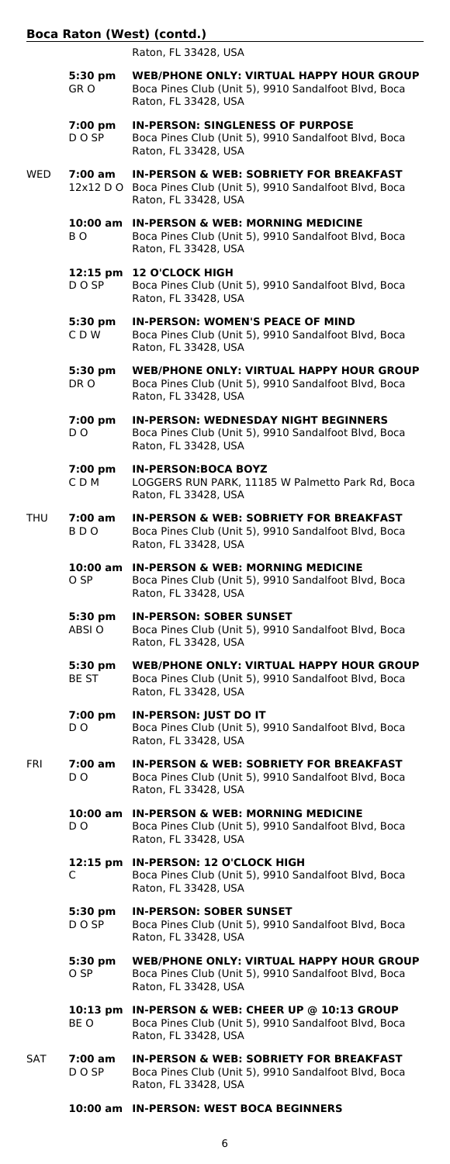# **Boca Raton (West) (contd.)**

|     |                          | Raton, FL 33428, USA                                                                                                                         |
|-----|--------------------------|----------------------------------------------------------------------------------------------------------------------------------------------|
|     | 5:30 pm<br>GR O          | <b>WEB/PHONE ONLY: VIRTUAL HAPPY HOUR GROUP</b><br>Boca Pines Club (Unit 5), 9910 Sandalfoot Blvd, Boca<br>Raton, FL 33428, USA              |
|     | 7:00 pm<br>D O SP        | <b>IN-PERSON: SINGLENESS OF PURPOSE</b><br>Boca Pines Club (Unit 5), 9910 Sandalfoot Blvd, Boca<br>Raton, FL 33428, USA                      |
| WED | 7:00 am                  | <b>IN-PERSON &amp; WEB: SOBRIETY FOR BREAKFAST</b><br>12x12 D O Boca Pines Club (Unit 5), 9910 Sandalfoot Blvd, Boca<br>Raton, FL 33428, USA |
|     | BO.                      | 10:00 am IN-PERSON & WEB: MORNING MEDICINE<br>Boca Pines Club (Unit 5), 9910 Sandalfoot Blvd, Boca<br>Raton, FL 33428, USA                   |
|     | 12:15 pm<br>D O SP       | <b>12 O'CLOCK HIGH</b><br>Boca Pines Club (Unit 5), 9910 Sandalfoot Blvd, Boca<br>Raton, FL 33428, USA                                       |
|     | 5:30 pm<br>CDW           | <b>IN-PERSON: WOMEN'S PEACE OF MIND</b><br>Boca Pines Club (Unit 5), 9910 Sandalfoot Blvd, Boca<br>Raton, FL 33428, USA                      |
|     | 5:30 pm<br>DR O          | <b>WEB/PHONE ONLY: VIRTUAL HAPPY HOUR GROUP</b><br>Boca Pines Club (Unit 5), 9910 Sandalfoot Blvd, Boca<br>Raton, FL 33428, USA              |
|     | 7:00 pm<br>D O           | <b>IN-PERSON: WEDNESDAY NIGHT BEGINNERS</b><br>Boca Pines Club (Unit 5), 9910 Sandalfoot Blvd, Boca<br>Raton, FL 33428, USA                  |
|     | $7:00$ pm<br>CDM         | <b>IN-PERSON:BOCA BOYZ</b><br>LOGGERS RUN PARK, 11185 W Palmetto Park Rd, Boca<br>Raton, FL 33428, USA                                       |
| THU | 7:00 am<br>BDO           | <b>IN-PERSON &amp; WEB: SOBRIETY FOR BREAKFAST</b><br>Boca Pines Club (Unit 5), 9910 Sandalfoot Blvd, Boca<br>Raton, FL 33428, USA           |
|     | O SP                     | 10:00 am IN-PERSON & WEB: MORNING MEDICINE<br>Boca Pines Club (Unit 5), 9910 Sandalfoot Blvd, Boca<br>Raton, FL 33428, USA                   |
|     | 5:30 pm<br>ABSI O        | <b>IN-PERSON: SOBER SUNSET</b><br>Boca Pines Club (Unit 5), 9910 Sandalfoot Blvd, Boca<br>Raton, FL 33428, USA                               |
|     | 5:30 pm<br>BE ST         | <b>WEB/PHONE ONLY: VIRTUAL HAPPY HOUR GROUP</b><br>Boca Pines Club (Unit 5), 9910 Sandalfoot Blvd, Boca<br>Raton, FL 33428, USA              |
|     | 7:00 pm<br>D O           | <b>IN-PERSON: JUST DO IT</b><br>Boca Pines Club (Unit 5), 9910 Sandalfoot Blvd, Boca<br>Raton, FL 33428, USA                                 |
| FRI | $7:00 \text{ am}$<br>D O | <b>IN-PERSON &amp; WEB: SOBRIETY FOR BREAKFAST</b><br>Boca Pines Club (Unit 5), 9910 Sandalfoot Blvd, Boca<br>Raton, FL 33428, USA           |
|     | 10:00 am<br>D O          | <b>IN-PERSON &amp; WEB: MORNING MEDICINE</b><br>Boca Pines Club (Unit 5), 9910 Sandalfoot Blvd, Boca<br>Raton, FL 33428, USA                 |
|     | 12:15 pm<br>C            | <b>IN-PERSON: 12 O'CLOCK HIGH</b><br>Boca Pines Club (Unit 5), 9910 Sandalfoot Blvd, Boca<br>Raton, FL 33428, USA                            |
|     | 5:30 pm<br>D O SP        | <b>IN-PERSON: SOBER SUNSET</b><br>Boca Pines Club (Unit 5), 9910 Sandalfoot Blvd, Boca<br>Raton, FL 33428, USA                               |
|     | 5:30 pm<br>O SP          | <b>WEB/PHONE ONLY: VIRTUAL HAPPY HOUR GROUP</b><br>Boca Pines Club (Unit 5), 9910 Sandalfoot Blvd, Boca<br>Raton, FL 33428, USA              |
|     | BE O                     | 10:13 pm IN-PERSON & WEB: CHEER UP @ 10:13 GROUP<br>Boca Pines Club (Unit 5), 9910 Sandalfoot Blvd, Boca<br>Raton, FL 33428, USA             |
| SAT | 7:00 am<br>D O SP        | <b>IN-PERSON &amp; WEB: SOBRIETY FOR BREAKFAST</b><br>Boca Pines Club (Unit 5), 9910 Sandalfoot Blvd, Boca<br>Raton, FL 33428, USA           |

**10:00 am IN-PERSON: WEST BOCA BEGINNERS**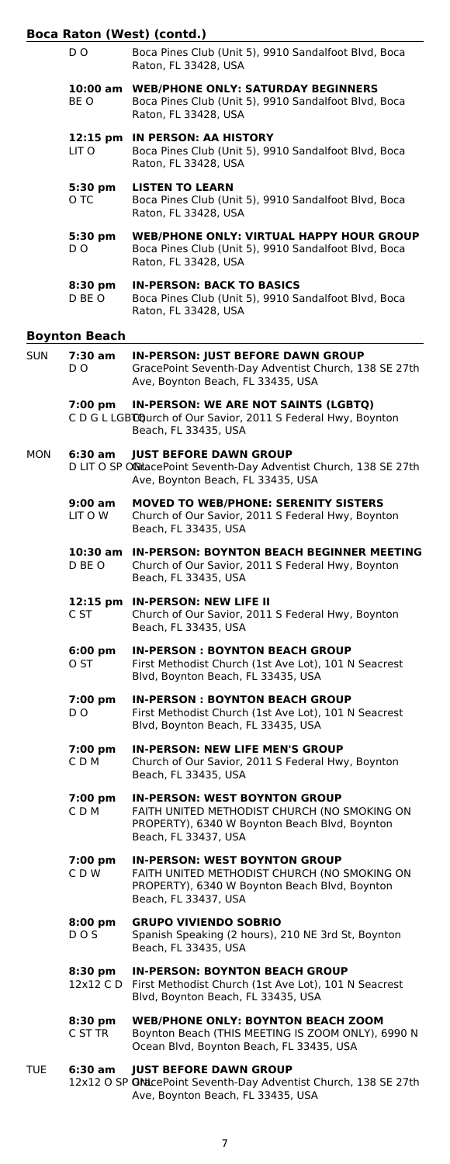#### **Boca**

|            |                      | Boca Raton (West) (contd.)                                                                                                                                    |
|------------|----------------------|---------------------------------------------------------------------------------------------------------------------------------------------------------------|
|            | D O                  | Boca Pines Club (Unit 5), 9910 Sandalfoot Blvd, Boca<br>Raton, FL 33428, USA                                                                                  |
|            | BE O                 | 10:00 am WEB/PHONE ONLY: SATURDAY BEGINNERS<br>Boca Pines Club (Unit 5), 9910 Sandalfoot Blvd, Boca<br>Raton, FL 33428, USA                                   |
|            | LIT O                | 12:15 pm IN PERSON: AA HISTORY<br>Boca Pines Club (Unit 5), 9910 Sandalfoot Blvd, Boca<br>Raton, FL 33428, USA                                                |
|            | 5:30 pm<br>O TC      | <b>LISTEN TO LEARN</b><br>Boca Pines Club (Unit 5), 9910 Sandalfoot Blvd, Boca<br>Raton, FL 33428, USA                                                        |
|            | 5:30 pm<br>D O       | <b>WEB/PHONE ONLY: VIRTUAL HAPPY HOUR GROUP</b><br>Boca Pines Club (Unit 5), 9910 Sandalfoot Blvd, Boca<br>Raton, FL 33428, USA                               |
|            | 8:30 pm<br>D BE O    | <b>IN-PERSON: BACK TO BASICS</b><br>Boca Pines Club (Unit 5), 9910 Sandalfoot Blvd, Boca<br>Raton, FL 33428, USA                                              |
|            | <b>Boynton Beach</b> |                                                                                                                                                               |
| <b>SUN</b> | 7:30 am<br>DO.       | <b>IN-PERSON: JUST BEFORE DAWN GROUP</b><br>GracePoint Seventh-Day Adventist Church, 138 SE 27th<br>Ave, Boynton Beach, FL 33435, USA                         |
|            | 7:00 pm              | IN-PERSON: WE ARE NOT SAINTS (LGBTQ)<br>C D G L LGBCQurch of Our Savior, 2011 S Federal Hwy, Boynton<br>Beach, FL 33435, USA                                  |
| MON        | 6:30 am              | <b>JUST BEFORE DAWN GROUP</b><br>D LIT O SP OCitacePoint Seventh-Day Adventist Church, 138 SE 27th<br>Ave, Boynton Beach, FL 33435, USA                       |
|            | 9:00 am<br>LIT O W   | <b>MOVED TO WEB/PHONE: SERENITY SISTERS</b><br>Church of Our Savior, 2011 S Federal Hwy, Boynton<br>Beach, FL 33435, USA                                      |
|            | D BE O               | 10:30 am IN-PERSON: BOYNTON BEACH BEGINNER MEETING<br>Church of Our Savior, 2011 S Federal Hwy, Boynton<br>Beach, FL 33435, USA                               |
|            | C ST                 | 12:15 pm IN-PERSON: NEW LIFE II<br>Church of Our Savior, 2011 S Federal Hwy, Boynton<br>Beach, FL 33435, USA                                                  |
|            | 6:00 pm<br>O ST      | <b>IN-PERSON: BOYNTON BEACH GROUP</b><br>First Methodist Church (1st Ave Lot), 101 N Seacrest<br>Blvd, Boynton Beach, FL 33435, USA                           |
|            | 7:00 pm<br>D O       | <b>IN-PERSON: BOYNTON BEACH GROUP</b><br>First Methodist Church (1st Ave Lot), 101 N Seacrest<br>Blvd, Boynton Beach, FL 33435, USA                           |
|            | 7:00 pm<br>CDM       | <b>IN-PERSON: NEW LIFE MEN'S GROUP</b><br>Church of Our Savior, 2011 S Federal Hwy, Boynton<br>Beach, FL 33435, USA                                           |
|            | 7:00 pm<br>CDM       | <b>IN-PERSON: WEST BOYNTON GROUP</b><br>FAITH UNITED METHODIST CHURCH (NO SMOKING ON<br>PROPERTY), 6340 W Boynton Beach Blvd, Boynton<br>Beach, FL 33437, USA |
|            | 7:00 pm<br>CDW       | <b>IN-PERSON: WEST BOYNTON GROUP</b><br>FAITH UNITED METHODIST CHURCH (NO SMOKING ON<br>PROPERTY), 6340 W Boynton Beach Blvd, Boynton<br>Beach, FL 33437, USA |
|            | $8:00$ pm<br>DOS.    | <b>GRUPO VIVIENDO SOBRIO</b><br>Spanish Speaking (2 hours), 210 NE 3rd St, Boynton<br>Beach, FL 33435, USA                                                    |
|            | 8:30 pm              | <b>IN-PERSON: BOYNTON BEACH GROUP</b>                                                                                                                         |

- 12x12 C D First Methodist Church (1st Ave Lot), 101 N Seacrest Blvd, Boynton Beach, FL 33435, USA
- **8:30 pm WEB/PHONE ONLY: BOYNTON BEACH ZOOM** Boynton Beach (THIS MEETING IS ZOOM ONLY), 6990 N Ocean Blvd, Boynton Beach, FL 33435, USA
- TUE **6:30 am JUST BEFORE DAWN GROUP** 12x12 O SP GNdcePoint Seventh-Day Adventist Church, 138 SE 27th Ave, Boynton Beach, FL 33435, USA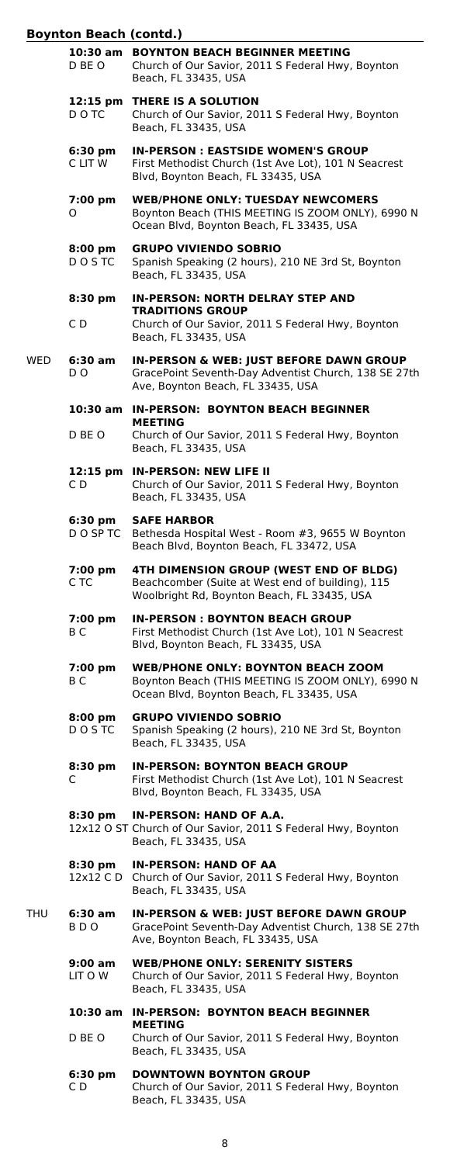# **Boynton Beach (contd.)**

|     | D BE O                       | 10:30 am BOYNTON BEACH BEGINNER MEETING<br>Church of Our Savior, 2011 S Federal Hwy, Boynton<br>Beach, FL 33435, USA                            |
|-----|------------------------------|-------------------------------------------------------------------------------------------------------------------------------------------------|
|     | 12:15 pm<br>D O TC           | THERE IS A SOLUTION<br>Church of Our Savior, 2011 S Federal Hwy, Boynton<br>Beach, FL 33435, USA                                                |
|     | $6:30 \text{ pm}$<br>C LIT W | <b>IN-PERSON: EASTSIDE WOMEN'S GROUP</b><br>First Methodist Church (1st Ave Lot), 101 N Seacrest<br>Blvd, Boynton Beach, FL 33435, USA          |
|     | 7:00 pm<br>O                 | <b>WEB/PHONE ONLY: TUESDAY NEWCOMERS</b><br>Boynton Beach (THIS MEETING IS ZOOM ONLY), 6990 N<br>Ocean Blvd, Boynton Beach, FL 33435, USA       |
|     | 8:00 pm<br>DO STC            | <b>GRUPO VIVIENDO SOBRIO</b><br>Spanish Speaking (2 hours), 210 NE 3rd St, Boynton<br>Beach, FL 33435, USA                                      |
|     | 8:30 pm                      | <b>IN-PERSON: NORTH DELRAY STEP AND</b>                                                                                                         |
|     | C D                          | <b>TRADITIONS GROUP</b><br>Church of Our Savior, 2011 S Federal Hwy, Boynton<br>Beach, FL 33435, USA                                            |
| WED | 6:30 am<br>DO.               | <b>IN-PERSON &amp; WEB: JUST BEFORE DAWN GROUP</b><br>GracePoint Seventh-Day Adventist Church, 138 SE 27th<br>Ave, Boynton Beach, FL 33435, USA |
|     |                              | 10:30 am IN-PERSON: BOYNTON BEACH BEGINNER                                                                                                      |
|     | D BE O                       | <b>MEETING</b><br>Church of Our Savior, 2011 S Federal Hwy, Boynton<br>Beach, FL 33435, USA                                                     |
|     | C D                          | 12:15 pm IN-PERSON: NEW LIFE II<br>Church of Our Savior, 2011 S Federal Hwy, Boynton<br>Beach, FL 33435, USA                                    |
|     | 6:30 pm<br>D O SP TC         | <b>SAFE HARBOR</b><br>Bethesda Hospital West - Room #3, 9655 W Boynton<br>Beach Blvd, Boynton Beach, FL 33472, USA                              |
|     | 7:00 pm<br>C TC              | 4TH DIMENSION GROUP (WEST END OF BLDG)<br>Beachcomber (Suite at West end of building), 115<br>Woolbright Rd, Boynton Beach, FL 33435, USA       |
|     | 7:00 pm<br>ВC                | <b>IN-PERSON: BOYNTON BEACH GROUP</b><br>First Methodist Church (1st Ave Lot), 101 N Seacrest<br>Blvd, Boynton Beach, FL 33435, USA             |
|     | 7:00 pm<br>B <sub>C</sub>    | <b>WEB/PHONE ONLY: BOYNTON BEACH ZOOM</b><br>Boynton Beach (THIS MEETING IS ZOOM ONLY), 6990 N<br>Ocean Blvd, Boynton Beach, FL 33435, USA      |
|     | 8:00 pm<br>D O S TC          | <b>GRUPO VIVIENDO SOBRIO</b><br>Spanish Speaking (2 hours), 210 NE 3rd St, Boynton<br>Beach, FL 33435, USA                                      |
|     | 8:30 pm<br>C                 | <b>IN-PERSON: BOYNTON BEACH GROUP</b><br>First Methodist Church (1st Ave Lot), 101 N Seacrest<br>Blvd, Boynton Beach, FL 33435, USA             |
|     | 8:30 pm                      | IN-PERSON: HAND OF A.A.<br>12x12 O ST Church of Our Savior, 2011 S Federal Hwy, Boynton<br>Beach, FL 33435, USA                                 |
|     | 8:30 pm                      | <b>IN-PERSON: HAND OF AA</b><br>12x12 C D Church of Our Savior, 2011 S Federal Hwy, Boynton<br>Beach, FL 33435, USA                             |
| THU | 6:30 am<br>BDO               | <b>IN-PERSON &amp; WEB: JUST BEFORE DAWN GROUP</b><br>GracePoint Seventh-Day Adventist Church, 138 SE 27th<br>Ave, Boynton Beach, FL 33435, USA |
|     | 9:00 am<br>LIT O W           | <b>WEB/PHONE ONLY: SERENITY SISTERS</b><br>Church of Our Savior, 2011 S Federal Hwy, Boynton<br>Beach, FL 33435, USA                            |
|     |                              | 10:30 am IN-PERSON: BOYNTON BEACH BEGINNER                                                                                                      |
|     | D BE O                       | <b>MEETING</b><br>Church of Our Savior, 2011 S Federal Hwy, Boynton<br>Beach, FL 33435, USA                                                     |
|     | 6:30 pm<br>C D               | <b>DOWNTOWN BOYNTON GROUP</b><br>Church of Our Savior, 2011 S Federal Hwy, Boynton<br>Beach, FL 33435, USA                                      |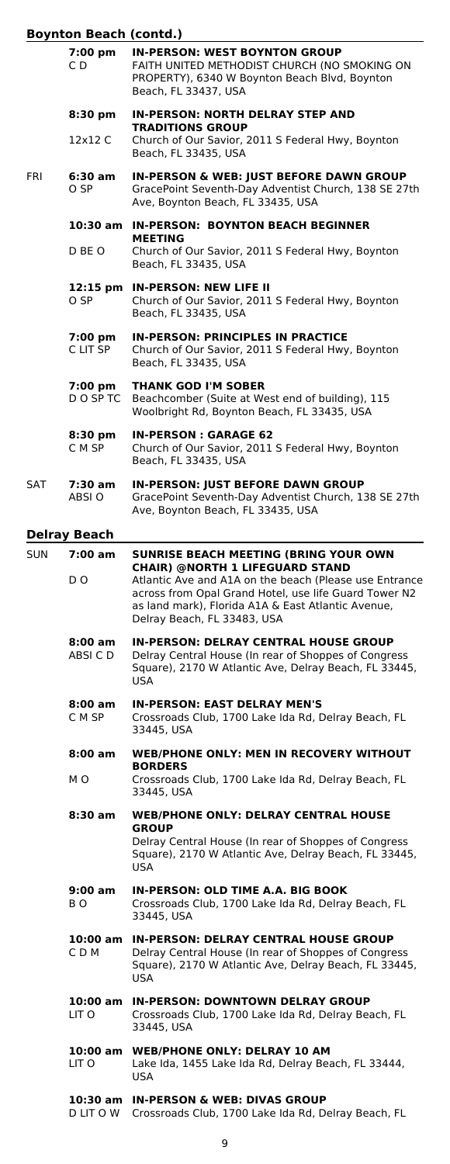# **Boynton Beach (contd.)**

|            | poynton peach (contu. <i>)</i> |                                                                                                                                                                                                      |
|------------|--------------------------------|------------------------------------------------------------------------------------------------------------------------------------------------------------------------------------------------------|
|            | 7:00 pm<br>C D                 | <b>IN-PERSON: WEST BOYNTON GROUP</b><br>FAITH UNITED METHODIST CHURCH (NO SMOKING ON<br>PROPERTY), 6340 W Boynton Beach Blvd, Boynton<br>Beach, FL 33437, USA                                        |
|            | $8:30$ pm                      | <b>IN-PERSON: NORTH DELRAY STEP AND</b><br><b>TRADITIONS GROUP</b>                                                                                                                                   |
|            | 12x12 C                        | Church of Our Savior, 2011 S Federal Hwy, Boynton<br>Beach, FL 33435, USA                                                                                                                            |
| FRI        | 6:30 am<br>O SP                | <b>IN-PERSON &amp; WEB: JUST BEFORE DAWN GROUP</b><br>GracePoint Seventh-Day Adventist Church, 138 SE 27th<br>Ave, Boynton Beach, FL 33435, USA                                                      |
|            | 10:30 am                       | <b>IN-PERSON: BOYNTON BEACH BEGINNER</b><br><b>MEETING</b>                                                                                                                                           |
|            | D BE O                         | Church of Our Savior, 2011 S Federal Hwy, Boynton<br>Beach, FL 33435, USA                                                                                                                            |
|            | $12:15$ pm<br>O SP             | <b>IN-PERSON: NEW LIFE II</b><br>Church of Our Savior, 2011 S Federal Hwy, Boynton<br>Beach, FL 33435, USA                                                                                           |
|            | 7:00 pm<br>C LIT SP            | <b>IN-PERSON: PRINCIPLES IN PRACTICE</b><br>Church of Our Savior, 2011 S Federal Hwy, Boynton<br>Beach, FL 33435, USA                                                                                |
|            | 7:00 pm<br>D O SP TC           | <b>THANK GOD I'M SOBER</b><br>Beachcomber (Suite at West end of building), 115<br>Woolbright Rd, Boynton Beach, FL 33435, USA                                                                        |
|            | $8:30$ pm<br>C M SP            | <b>IN-PERSON: GARAGE 62</b><br>Church of Our Savior, 2011 S Federal Hwy, Boynton<br>Beach, FL 33435, USA                                                                                             |
| SAT        | 7:30 am<br>ABSI O              | <b>IN-PERSON: JUST BEFORE DAWN GROUP</b><br>GracePoint Seventh-Day Adventist Church, 138 SE 27th<br>Ave, Boynton Beach, FL 33435, USA                                                                |
|            | <b>Delray Beach</b>            |                                                                                                                                                                                                      |
| <b>SUN</b> | 7:00 am                        | SUNRISE BEACH MEETING (BRING YOUR OWN<br><b>CHAIR) @NORTH 1 LIFEGUARD STAND</b>                                                                                                                      |
|            | DO.                            | Atlantic Ave and A1A on the beach (Please use Entrance<br>across from Opal Grand Hotel, use life Guard Tower N2<br>as land mark), Florida A1A & East Atlantic Avenue,<br>Delray Beach, FL 33483, USA |
|            | $8:00$ am<br>ABSI C D          | <b>IN-PERSON: DELRAY CENTRAL HOUSE GROUP</b><br>Delray Central House (In rear of Shoppes of Congress<br>Square), 2170 W Atlantic Ave, Delray Beach, FL 33445,<br><b>USA</b>                          |
|            | 8:00 am<br>C M SP              | <b>IN-PERSON: EAST DELRAY MEN'S</b><br>Crossroads Club, 1700 Lake Ida Rd, Delray Beach, FL<br>33445, USA                                                                                             |
|            | $8:00$ am                      | <b>WEB/PHONE ONLY: MEN IN RECOVERY WITHOUT</b>                                                                                                                                                       |
|            | мo                             | <b>BORDERS</b><br>Crossroads Club, 1700 Lake Ida Rd, Delray Beach, FL<br>33445, USA                                                                                                                  |
|            | 8:30 am                        | <b>WEB/PHONE ONLY: DELRAY CENTRAL HOUSE</b><br><b>GROUP</b>                                                                                                                                          |
|            |                                | Delray Central House (In rear of Shoppes of Congress<br>Square), 2170 W Atlantic Ave, Delray Beach, FL 33445,<br><b>USA</b>                                                                          |
|            | 9:00 am<br>ВO                  | <b>IN-PERSON: OLD TIME A.A. BIG BOOK</b><br>Crossroads Club, 1700 Lake Ida Rd, Delray Beach, FL<br>33445, USA                                                                                        |
|            | 10:00 am<br>CDM                | <b>IN-PERSON: DELRAY CENTRAL HOUSE GROUP</b><br>Delray Central House (In rear of Shoppes of Congress<br>Square), 2170 W Atlantic Ave, Delray Beach, FL 33445,<br><b>USA</b>                          |
|            | LIT O                          | 10:00 am IN-PERSON: DOWNTOWN DELRAY GROUP<br>Crossroads Club, 1700 Lake Ida Rd, Delray Beach, FL<br>33445, USA                                                                                       |
|            | LIT O                          | 10:00 am WEB/PHONE ONLY: DELRAY 10 AM<br>Lake Ida, 1455 Lake Ida Rd, Delray Beach, FL 33444,<br>USA                                                                                                  |
|            | 10:30 am<br>D LIT O W          | <b>IN-PERSON &amp; WEB: DIVAS GROUP</b><br>Crossroads Club, 1700 Lake Ida Rd, Delray Beach, FL                                                                                                       |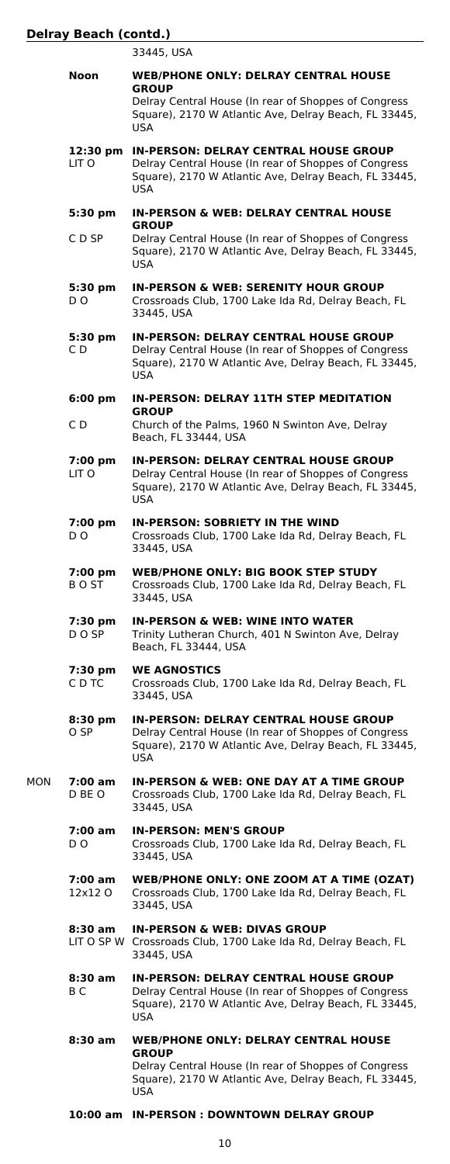33445, USA

|     | Noon                     | <b>WEB/PHONE ONLY: DELRAY CENTRAL HOUSE</b><br><b>GROUP</b>                                                                                                                 |
|-----|--------------------------|-----------------------------------------------------------------------------------------------------------------------------------------------------------------------------|
|     |                          | Delray Central House (In rear of Shoppes of Congress<br>Square), 2170 W Atlantic Ave, Delray Beach, FL 33445,<br>USA                                                        |
|     | 12:30 pm<br>LIT O        | <b>IN-PERSON: DELRAY CENTRAL HOUSE GROUP</b><br>Delray Central House (In rear of Shoppes of Congress<br>Square), 2170 W Atlantic Ave, Delray Beach, FL 33445,<br><b>USA</b> |
|     | $5:30$ pm                | <b>IN-PERSON &amp; WEB: DELRAY CENTRAL HOUSE</b><br><b>GROUP</b>                                                                                                            |
|     | C D SP                   | Delray Central House (In rear of Shoppes of Congress<br>Square), 2170 W Atlantic Ave, Delray Beach, FL 33445,<br>USA                                                        |
|     | 5:30 pm<br>DO.           | <b>IN-PERSON &amp; WEB: SERENITY HOUR GROUP</b><br>Crossroads Club, 1700 Lake Ida Rd, Delray Beach, FL<br>33445, USA                                                        |
|     | 5:30 pm<br>C D           | <b>IN-PERSON: DELRAY CENTRAL HOUSE GROUP</b><br>Delray Central House (In rear of Shoppes of Congress<br>Square), 2170 W Atlantic Ave, Delray Beach, FL 33445,<br><b>USA</b> |
|     | $6:00$ pm                | <b>IN-PERSON: DELRAY 11TH STEP MEDITATION</b><br><b>GROUP</b>                                                                                                               |
|     | CD                       | Church of the Palms, 1960 N Swinton Ave, Delray<br>Beach, FL 33444, USA                                                                                                     |
|     | 7:00 pm<br>LIT O         | <b>IN-PERSON: DELRAY CENTRAL HOUSE GROUP</b><br>Delray Central House (In rear of Shoppes of Congress<br>Square), 2170 W Atlantic Ave, Delray Beach, FL 33445,<br>USA        |
|     | 7:00 pm<br>D O           | <b>IN-PERSON: SOBRIETY IN THE WIND</b><br>Crossroads Club, 1700 Lake Ida Rd, Delray Beach, FL<br>33445, USA                                                                 |
|     | 7:00 pm<br>B O ST        | <b>WEB/PHONE ONLY: BIG BOOK STEP STUDY</b><br>Crossroads Club, 1700 Lake Ida Rd, Delray Beach, FL<br>33445, USA                                                             |
|     | 7:30 pm<br>D O SP        | <b>IN-PERSON &amp; WEB: WINE INTO WATER</b><br>Trinity Lutheran Church, 401 N Swinton Ave, Delray<br>Beach, FL 33444, USA                                                   |
|     | 7:30 pm<br>C D TC        | <b>WE AGNOSTICS</b><br>Crossroads Club, 1700 Lake Ida Rd, Delray Beach, FL<br>33445, USA                                                                                    |
|     | 8:30 pm<br>O SP          | <b>IN-PERSON: DELRAY CENTRAL HOUSE GROUP</b><br>Delray Central House (In rear of Shoppes of Congress<br>Square), 2170 W Atlantic Ave, Delray Beach, FL 33445,<br><b>USA</b> |
| MON | 7:00 am<br>D BE O        | <b>IN-PERSON &amp; WEB: ONE DAY AT A TIME GROUP</b><br>Crossroads Club, 1700 Lake Ida Rd, Delray Beach, FL<br>33445, USA                                                    |
|     | $7:00 \text{ am}$<br>D O | <b>IN-PERSON: MEN'S GROUP</b><br>Crossroads Club, 1700 Lake Ida Rd, Delray Beach, FL<br>33445, USA                                                                          |
|     | 7:00 am<br>12x12 O       | WEB/PHONE ONLY: ONE ZOOM AT A TIME (OZAT)<br>Crossroads Club, 1700 Lake Ida Rd, Delray Beach, FL<br>33445, USA                                                              |
|     | 8:30 am                  | <b>IN-PERSON &amp; WEB: DIVAS GROUP</b><br>LIT O SP W Crossroads Club, 1700 Lake Ida Rd, Delray Beach, FL<br>33445, USA                                                     |
|     | 8:30 am<br>ВC            | <b>IN-PERSON: DELRAY CENTRAL HOUSE GROUP</b><br>Delray Central House (In rear of Shoppes of Congress<br>Square), 2170 W Atlantic Ave, Delray Beach, FL 33445,<br>USA        |
|     | 8:30 am                  | <b>WEB/PHONE ONLY: DELRAY CENTRAL HOUSE</b>                                                                                                                                 |
|     |                          | <b>GROUP</b><br>Delray Central House (In rear of Shoppes of Congress<br>Square), 2170 W Atlantic Ave, Delray Beach, FL 33445,<br>USA                                        |

**10:00 am IN-PERSON : DOWNTOWN DELRAY GROUP**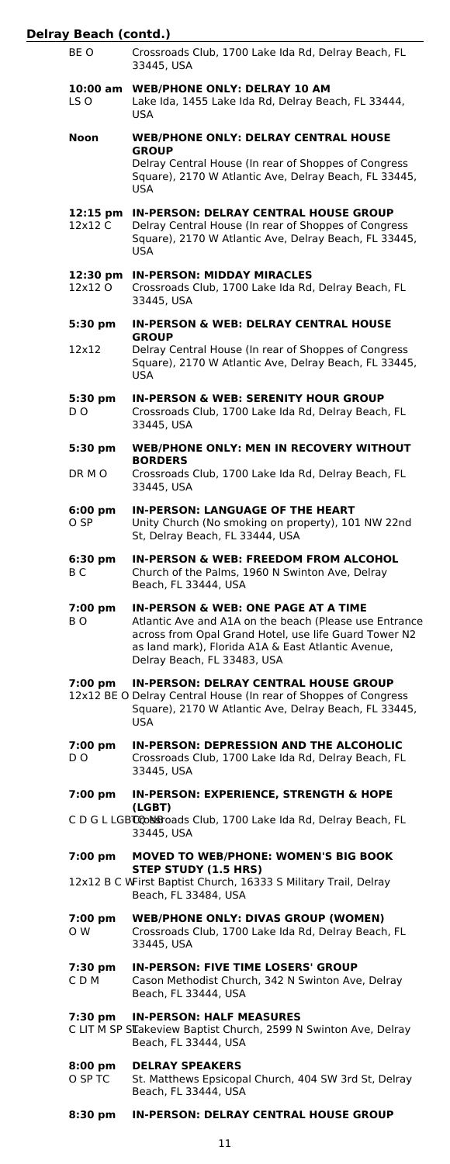| BE O                          | Crossroads Club, 1700 Lake Ida Rd, Delray Beach, FL<br>33445, USA                                                                                                                                                                                      |
|-------------------------------|--------------------------------------------------------------------------------------------------------------------------------------------------------------------------------------------------------------------------------------------------------|
| 10:00 am<br>LS O              | <b>WEB/PHONE ONLY: DELRAY 10 AM</b><br>Lake Ida, 1455 Lake Ida Rd, Delray Beach, FL 33444,<br>USA                                                                                                                                                      |
| Noon                          | <b>WEB/PHONE ONLY: DELRAY CENTRAL HOUSE</b><br><b>GROUP</b><br>Delray Central House (In rear of Shoppes of Congress<br>Square), 2170 W Atlantic Ave, Delray Beach, FL 33445,<br>USA                                                                    |
| $12:15 \text{ pm}$<br>12x12 C | <b>IN-PERSON: DELRAY CENTRAL HOUSE GROUP</b><br>Delray Central House (In rear of Shoppes of Congress<br>Square), 2170 W Atlantic Ave, Delray Beach, FL 33445,<br>USA                                                                                   |
| 12:30 pm<br>12x12 O           | <b>IN-PERSON: MIDDAY MIRACLES</b><br>Crossroads Club, 1700 Lake Ida Rd, Delray Beach, FL<br>33445, USA                                                                                                                                                 |
| 5:30 pm                       | <b>IN-PERSON &amp; WEB: DELRAY CENTRAL HOUSE</b>                                                                                                                                                                                                       |
| 12×12                         | <b>GROUP</b><br>Delray Central House (In rear of Shoppes of Congress<br>Square), 2170 W Atlantic Ave, Delray Beach, FL 33445,<br>USA                                                                                                                   |
| 5:30 pm<br>D O                | <b>IN-PERSON &amp; WEB: SERENITY HOUR GROUP</b><br>Crossroads Club, 1700 Lake Ida Rd, Delray Beach, FL<br>33445, USA                                                                                                                                   |
| 5:30 pm                       | <b>WEB/PHONE ONLY: MEN IN RECOVERY WITHOUT</b><br><b>BORDERS</b>                                                                                                                                                                                       |
| DR M O                        | Crossroads Club, 1700 Lake Ida Rd, Delray Beach, FL<br>33445, USA                                                                                                                                                                                      |
| 6:00 pm<br>O SP               | <b>IN-PERSON: LANGUAGE OF THE HEART</b><br>Unity Church (No smoking on property), 101 NW 22nd<br>St, Delray Beach, FL 33444, USA                                                                                                                       |
| 6:30 pm<br>B C                | <b>IN-PERSON &amp; WEB: FREEDOM FROM ALCOHOL</b><br>Church of the Palms, 1960 N Swinton Ave, Delray<br>Beach, FL 33444, USA                                                                                                                            |
| 7:00 pm<br>в о                | <b>IN-PERSON &amp; WEB: ONE PAGE AT A TIME</b><br>Atlantic Ave and A1A on the beach (Please use Entrance<br>across from Opal Grand Hotel, use life Guard Tower N2<br>as land mark), Florida A1A & East Atlantic Avenue,<br>Delray Beach, FL 33483, USA |
| 7:00 pm                       | <b>IN-PERSON: DELRAY CENTRAL HOUSE GROUP</b><br>12x12 BE O Delray Central House (In rear of Shoppes of Congress<br>Square), 2170 W Atlantic Ave, Delray Beach, FL 33445,<br><b>USA</b>                                                                 |
| 7:00 pm<br>D O                | IN-PERSON: DEPRESSION AND THE ALCOHOLIC<br>Crossroads Club, 1700 Lake Ida Rd, Delray Beach, FL<br>33445, USA                                                                                                                                           |
| 7:00 pm                       | IN-PERSON: EXPERIENCE, STRENGTH & HOPE                                                                                                                                                                                                                 |
|                               | (LGBT)<br>CD GLLGBCCONSFoads Club, 1700 Lake Ida Rd, Delray Beach, FL<br>33445, USA                                                                                                                                                                    |
| 7:00 pm                       | <b>MOVED TO WEB/PHONE: WOMEN'S BIG BOOK</b><br>STEP STUDY (1.5 HRS)                                                                                                                                                                                    |
|                               | 12x12 B C WFirst Baptist Church, 16333 S Military Trail, Delray<br>Beach, FL 33484, USA                                                                                                                                                                |
| 7:00 pm<br>O W                | <b>WEB/PHONE ONLY: DIVAS GROUP (WOMEN)</b>                                                                                                                                                                                                             |
|                               | Crossroads Club, 1700 Lake Ida Rd, Delray Beach, FL<br>33445, USA                                                                                                                                                                                      |
| 7:30 pm<br>C D M              | IN-PERSON: FIVE TIME LOSERS' GROUP<br>Cason Methodist Church, 342 N Swinton Ave, Delray<br>Beach, FL 33444, USA                                                                                                                                        |
| 7:30 pm                       | <b>IN-PERSON: HALF MEASURES</b><br>C LIT M SP STakeview Baptist Church, 2599 N Swinton Ave, Delray<br>Beach, FL 33444, USA                                                                                                                             |
| $8:00$ pm<br>O SP TC          | <b>DELRAY SPEAKERS</b><br>St. Matthews Epsicopal Church, 404 SW 3rd St, Delray<br>Beach, FL 33444, USA                                                                                                                                                 |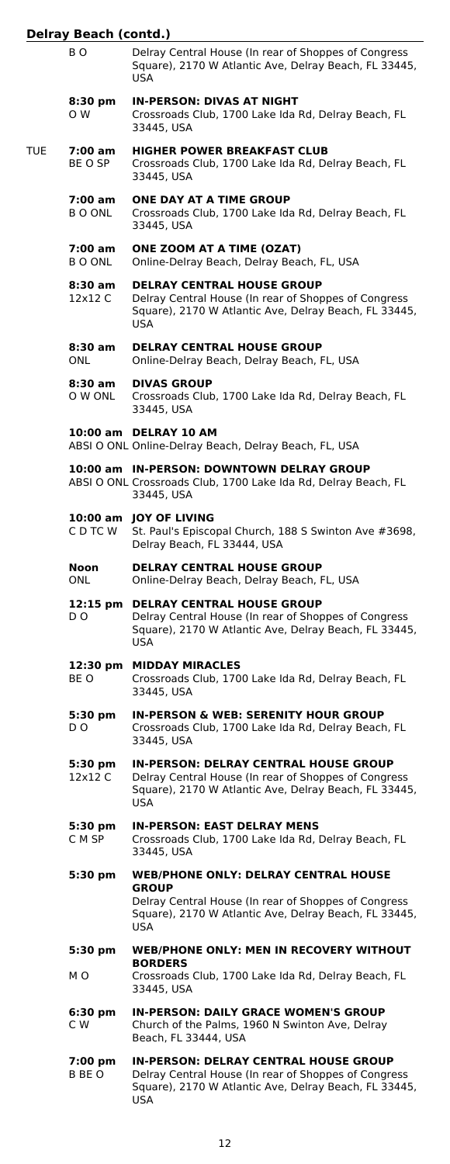|     | ВO                 | Delray Central House (In rear of Shoppes of Congress<br>Square), 2170 W Atlantic Ave, Delray Beach, FL 33445,<br>USA                                                        |
|-----|--------------------|-----------------------------------------------------------------------------------------------------------------------------------------------------------------------------|
|     | 8:30 pm<br>O W     | <b>IN-PERSON: DIVAS AT NIGHT</b><br>Crossroads Club, 1700 Lake Ida Rd, Delray Beach, FL<br>33445, USA                                                                       |
| TUE | 7:00 am<br>BE O SP | <b>HIGHER POWER BREAKFAST CLUB</b><br>Crossroads Club, 1700 Lake Ida Rd, Delray Beach, FL<br>33445, USA                                                                     |
|     | 7:00 am<br>B O ONL | ONE DAY AT A TIME GROUP<br>Crossroads Club, 1700 Lake Ida Rd, Delray Beach, FL<br>33445, USA                                                                                |
|     | 7:00 am<br>B O ONL | ONE ZOOM AT A TIME (OZAT)<br>Online-Delray Beach, Delray Beach, FL, USA                                                                                                     |
|     | 8:30 am<br>12x12 C | <b>DELRAY CENTRAL HOUSE GROUP</b><br>Delray Central House (In rear of Shoppes of Congress<br>Square), 2170 W Atlantic Ave, Delray Beach, FL 33445,<br><b>USA</b>            |
|     | 8:30 am<br>ONL.    | <b>DELRAY CENTRAL HOUSE GROUP</b><br>Online-Delray Beach, Delray Beach, FL, USA                                                                                             |
|     | 8:30 am<br>O W ONL | <b>DIVAS GROUP</b><br>Crossroads Club, 1700 Lake Ida Rd, Delray Beach, FL<br>33445, USA                                                                                     |
|     |                    | 10:00 am DELRAY 10 AM<br>ABSI O ONL Online-Delray Beach, Delray Beach, FL, USA                                                                                              |
|     |                    | 10:00 am IN-PERSON: DOWNTOWN DELRAY GROUP<br>ABSI O ONL Crossroads Club, 1700 Lake Ida Rd, Delray Beach, FL<br>33445, USA                                                   |
|     | C D TC W           | 10:00 am JOY OF LIVING<br>St. Paul's Episcopal Church, 188 S Swinton Ave #3698,<br>Delray Beach, FL 33444, USA                                                              |
|     | Noon<br>ONL.       | <b>DELRAY CENTRAL HOUSE GROUP</b><br>Online-Delray Beach, Delray Beach, FL, USA                                                                                             |
|     | DO.                | 12:15 pm DELRAY CENTRAL HOUSE GROUP<br>Delray Central House (In rear of Shoppes of Congress<br>Square), 2170 W Atlantic Ave, Delray Beach, FL 33445,<br><b>USA</b>          |
|     | BE O               | 12:30 pm MIDDAY MIRACLES<br>Crossroads Club, 1700 Lake Ida Rd, Delray Beach, FL<br>33445, USA                                                                               |
|     | 5:30 pm<br>DO.     | <b>IN-PERSON &amp; WEB: SERENITY HOUR GROUP</b><br>Crossroads Club, 1700 Lake Ida Rd, Delray Beach, FL<br>33445, USA                                                        |
|     | 5:30 pm<br>12x12 C | <b>IN-PERSON: DELRAY CENTRAL HOUSE GROUP</b><br>Delray Central House (In rear of Shoppes of Congress<br>Square), 2170 W Atlantic Ave, Delray Beach, FL 33445,<br><b>USA</b> |
|     | 5:30 pm<br>C M SP  | <b>IN-PERSON: EAST DELRAY MENS</b><br>Crossroads Club, 1700 Lake Ida Rd, Delray Beach, FL<br>33445, USA                                                                     |
|     | 5:30 pm            | <b>WEB/PHONE ONLY: DELRAY CENTRAL HOUSE</b><br><b>GROUP</b>                                                                                                                 |
|     |                    | Delray Central House (In rear of Shoppes of Congress<br>Square), 2170 W Atlantic Ave, Delray Beach, FL 33445,<br><b>USA</b>                                                 |
|     | 5:30 pm            | <b>WEB/PHONE ONLY: MEN IN RECOVERY WITHOUT</b><br><b>BORDERS</b>                                                                                                            |
|     | мo                 | Crossroads Club, 1700 Lake Ida Rd, Delray Beach, FL<br>33445, USA                                                                                                           |
|     | 6:30 pm<br>C W     | <b>IN-PERSON: DAILY GRACE WOMEN'S GROUP</b><br>Church of the Palms, 1960 N Swinton Ave, Delray<br>Beach, FL 33444, USA                                                      |
|     | 7:00 pm<br>B BE O  | <b>IN-PERSON: DELRAY CENTRAL HOUSE GROUP</b><br>Delray Central House (In rear of Shoppes of Congress<br>Square), 2170 W Atlantic Ave, Delray Beach, FL 33445,<br><b>USA</b> |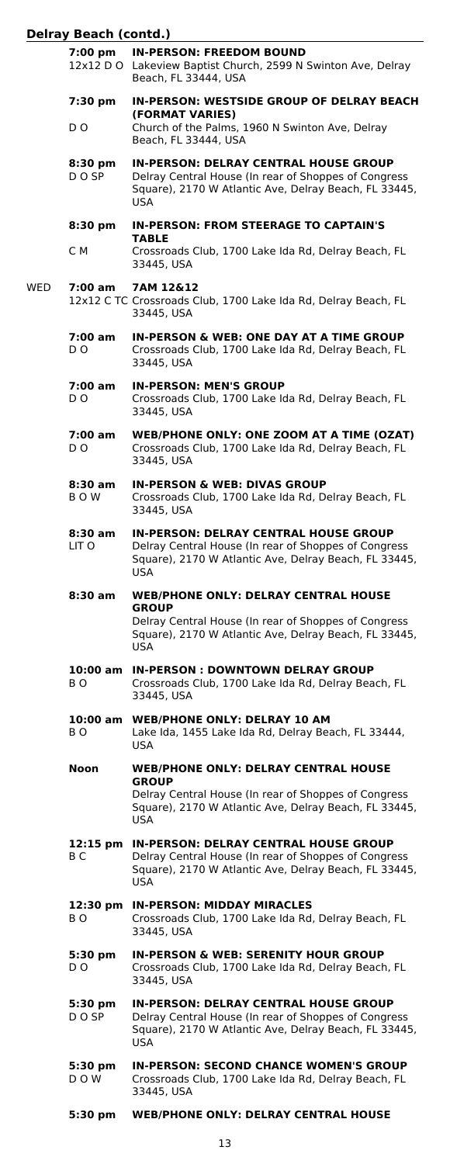$WED$ 

| 7:00 pm                              | <b>IN-PERSON: FREEDOM BOUND</b><br>12x12 D O Lakeview Baptist Church, 2599 N Swinton Ave, Delray<br>Beach, FL 33444, USA                                                    |
|--------------------------------------|-----------------------------------------------------------------------------------------------------------------------------------------------------------------------------|
| 7:30 pm<br>D <sub>O</sub>            | IN-PERSON: WESTSIDE GROUP OF DELRAY BEACH<br>(FORMAT VARIES)<br>Church of the Palms, 1960 N Swinton Ave, Delray                                                             |
|                                      | Beach, FL 33444, USA                                                                                                                                                        |
| $8:30$ pm<br>D O SP                  | <b>IN-PERSON: DELRAY CENTRAL HOUSE GROUP</b><br>Delray Central House (In rear of Shoppes of Congress<br>Square), 2170 W Atlantic Ave, Delray Beach, FL 33445,<br><b>USA</b> |
| $8:30$ pm                            | <b>IN-PERSON: FROM STEERAGE TO CAPTAIN'S</b>                                                                                                                                |
| C M                                  | <b>TABLE</b><br>Crossroads Club, 1700 Lake Ida Rd, Delray Beach, FL<br>33445, USA                                                                                           |
| 7:00 am                              | 7AM 12&12<br>12x12 C TC Crossroads Club, 1700 Lake Ida Rd, Delray Beach, FL<br>33445, USA                                                                                   |
| 7:00 am<br>D O                       | <b>IN-PERSON &amp; WEB: ONE DAY AT A TIME GROUP</b><br>Crossroads Club, 1700 Lake Ida Rd, Delray Beach, FL<br>33445, USA                                                    |
| 7:00 am<br>D O                       | <b>IN-PERSON: MEN'S GROUP</b><br>Crossroads Club, 1700 Lake Ida Rd, Delray Beach, FL<br>33445, USA                                                                          |
| 7:00 am<br>DO.                       | <b>WEB/PHONE ONLY: ONE ZOOM AT A TIME (OZAT)</b><br>Crossroads Club, 1700 Lake Ida Rd, Delray Beach, FL<br>33445, USA                                                       |
| 8:30 am<br>B O W                     | <b>IN-PERSON &amp; WEB: DIVAS GROUP</b><br>Crossroads Club, 1700 Lake Ida Rd, Delray Beach, FL<br>33445, USA                                                                |
| 8:30 am<br>LIT O                     | <b>IN-PERSON: DELRAY CENTRAL HOUSE GROUP</b><br>Delray Central House (In rear of Shoppes of Congress<br>Square), 2170 W Atlantic Ave, Delray Beach, FL 33445,<br><b>USA</b> |
| 8:30 am                              | <b>WEB/PHONE ONLY: DELRAY CENTRAL HOUSE</b>                                                                                                                                 |
|                                      |                                                                                                                                                                             |
|                                      | <b>GROUP</b><br>Delray Central House (In rear of Shoppes of Congress<br>Square), 2170 W Atlantic Ave, Delray Beach, FL 33445,<br><b>USA</b>                                 |
| 10:00 am<br>B O                      | <b>IN-PERSON: DOWNTOWN DELRAY GROUP</b><br>Crossroads Club, 1700 Lake Ida Rd, Delray Beach, FL<br>33445, USA                                                                |
| BO.                                  | 10:00 am WEB/PHONE ONLY: DELRAY 10 AM<br>Lake Ida, 1455 Lake Ida Rd, Delray Beach, FL 33444,<br>USA                                                                         |
| Noon                                 | <b>WEB/PHONE ONLY: DELRAY CENTRAL HOUSE</b>                                                                                                                                 |
|                                      | <b>GROUP</b><br>Delray Central House (In rear of Shoppes of Congress<br>Square), 2170 W Atlantic Ave, Delray Beach, FL 33445,<br><b>USA</b>                                 |
| $12:15 \text{ pm}$<br>B <sub>C</sub> | <b>IN-PERSON: DELRAY CENTRAL HOUSE GROUP</b><br>Delray Central House (In rear of Shoppes of Congress<br>Square), 2170 W Atlantic Ave, Delray Beach, FL 33445,<br><b>USA</b> |
| 12:30 pm<br>BO.                      | <b>IN-PERSON: MIDDAY MIRACLES</b><br>Crossroads Club, 1700 Lake Ida Rd, Delray Beach, FL<br>33445, USA                                                                      |
| 5:30 pm<br>DO.                       | <b>IN-PERSON &amp; WEB: SERENITY HOUR GROUP</b><br>Crossroads Club, 1700 Lake Ida Rd, Delray Beach, FL<br>33445, USA                                                        |
| 5:30 pm<br>DO SP                     | <b>IN-PERSON: DELRAY CENTRAL HOUSE GROUP</b><br>Delray Central House (In rear of Shoppes of Congress<br>Square), 2170 W Atlantic Ave, Delray Beach, FL 33445,<br><b>USA</b> |
| 5:30 pm<br>DOW                       | <b>IN-PERSON: SECOND CHANCE WOMEN'S GROUP</b><br>Crossroads Club, 1700 Lake Ida Rd, Delray Beach, FL<br>33445, USA                                                          |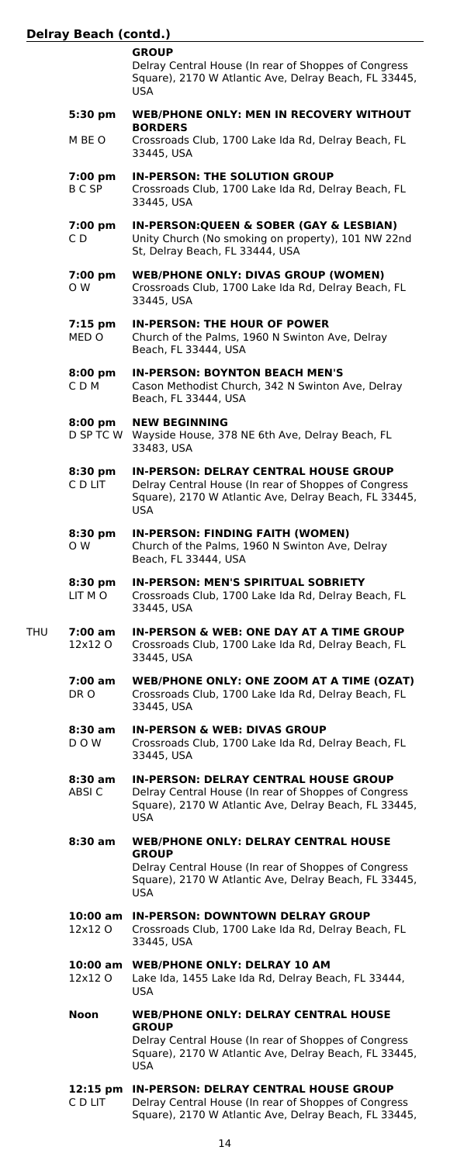**GROUP** Delray Central House (In rear of Shoppes of Congress Square), 2170 W Atlantic Ave, Delray Beach, FL 33445, USA **5:30 pm WEB/PHONE ONLY: MEN IN RECOVERY WITHOUT BORDERS** M BE O Crossroads Club, 1700 Lake Ida Rd, Delray Beach, FL 33445, USA **7:00 pm IN-PERSON: THE SOLUTION GROUP** B C SP Crossroads Club, 1700 Lake Ida Rd, Delray Beach, FL 33445, USA **7:00 pm IN-PERSON:QUEEN & SOBER (GAY & LESBIAN)** C D Unity Church (No smoking on property), 101 NW 22nd St, Delray Beach, FL 33444, USA **7:00 pm WEB/PHONE ONLY: DIVAS GROUP (WOMEN)** O W Crossroads Club, 1700 Lake Ida Rd, Delray Beach, FL 33445, USA **7:15 pm IN-PERSON: THE HOUR OF POWER** Church of the Palms, 1960 N Swinton Ave, Delray Beach, FL 33444, USA **8:00 pm IN-PERSON: BOYNTON BEACH MEN'S** C D M Cason Methodist Church, 342 N Swinton Ave, Delray Beach, FL 33444, USA **8:00 pm NEW BEGINNING**<br>D SP TC W Wayside House, 37 Wayside House, 378 NE 6th Ave, Delray Beach, FL 33483, USA **8:30 pm IN-PERSON: DELRAY CENTRAL HOUSE GROUP** Delray Central House (In rear of Shoppes of Congress Square), 2170 W Atlantic Ave, Delray Beach, FL 33445, USA **8:30 pm IN-PERSON: FINDING FAITH (WOMEN)** Church of the Palms, 1960 N Swinton Ave, Delray Beach, FL 33444, USA **8:30 pm IN-PERSON: MEN'S SPIRITUAL SOBRIETY** LIT M O Crossroads Club, 1700 Lake Ida Rd, Delray Beach, FL 33445, USA THU **7:00 am IN-PERSON & WEB: ONE DAY AT A TIME GROUP** Crossroads Club, 1700 Lake Ida Rd, Delray Beach, FL 33445, USA **7:00 am WEB/PHONE ONLY: ONE ZOOM AT A TIME (OZAT)** DR O Crossroads Club, 1700 Lake Ida Rd, Delray Beach, FL 33445, USA **8:30 am IN-PERSON & WEB: DIVAS GROUP** D O W Crossroads Club, 1700 Lake Ida Rd, Delray Beach, FL 33445, USA **8:30 am IN-PERSON: DELRAY CENTRAL HOUSE GROUP** Delray Central House (In rear of Shoppes of Congress Square), 2170 W Atlantic Ave, Delray Beach, FL 33445, USA **8:30 am WEB/PHONE ONLY: DELRAY CENTRAL HOUSE GROUP**

Delray Central House (In rear of Shoppes of Congress Square), 2170 W Atlantic Ave, Delray Beach, FL 33445, USA

**10:00 am IN-PERSON: DOWNTOWN DELRAY GROUP**

Crossroads Club, 1700 Lake Ida Rd, Delray Beach, FL 33445, USA

- **10:00 am WEB/PHONE ONLY: DELRAY 10 AM** Lake Ida, 1455 Lake Ida Rd, Delray Beach, FL 33444, USA
- **Noon WEB/PHONE ONLY: DELRAY CENTRAL HOUSE GROUP** Delray Central House (In rear of Shoppes of Congress Square), 2170 W Atlantic Ave, Delray Beach, FL 33445, USA
- **12:15 pm IN-PERSON: DELRAY CENTRAL HOUSE GROUP** C D LIT Delray Central House (In rear of Shoppes of Congress Square), 2170 W Atlantic Ave, Delray Beach, FL 33445,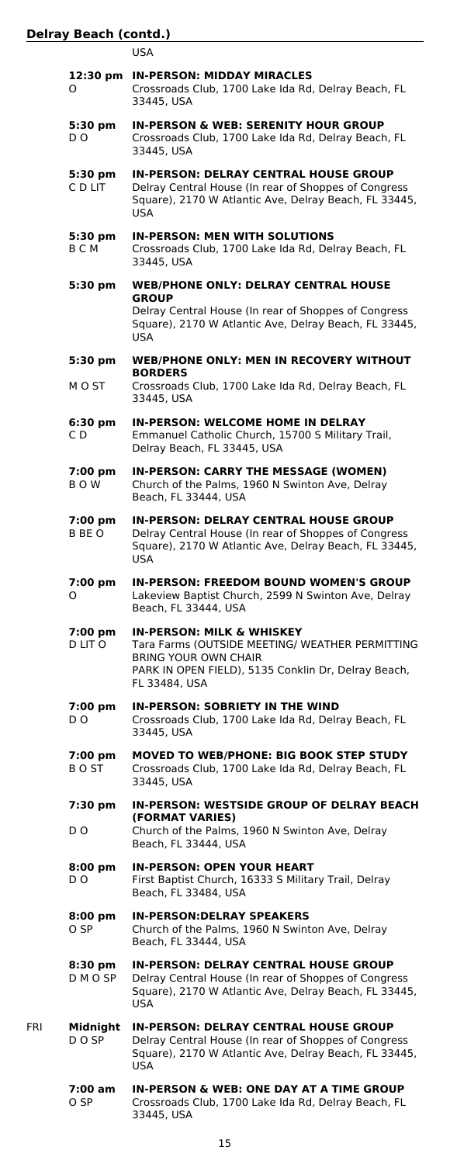USA

|     | 0                     | 12:30 pm IN-PERSON: MIDDAY MIRACLES<br>Crossroads Club, 1700 Lake Ida Rd, Delray Beach, FL<br>33445, USA                                                                                       |
|-----|-----------------------|------------------------------------------------------------------------------------------------------------------------------------------------------------------------------------------------|
|     | 5:30 pm<br>D O        | <b>IN-PERSON &amp; WEB: SERENITY HOUR GROUP</b><br>Crossroads Club, 1700 Lake Ida Rd, Delray Beach, FL<br>33445, USA                                                                           |
|     | 5:30 pm<br>C D LIT    | <b>IN-PERSON: DELRAY CENTRAL HOUSE GROUP</b><br>Delray Central House (In rear of Shoppes of Congress<br>Square), 2170 W Atlantic Ave, Delray Beach, FL 33445,<br><b>USA</b>                    |
|     | 5:30 pm<br>BСМ        | <b>IN-PERSON: MEN WITH SOLUTIONS</b><br>Crossroads Club, 1700 Lake Ida Rd, Delray Beach, FL<br>33445, USA                                                                                      |
|     | 5:30 pm               | <b>WEB/PHONE ONLY: DELRAY CENTRAL HOUSE</b><br><b>GROUP</b><br>Delray Central House (In rear of Shoppes of Congress<br>Square), 2170 W Atlantic Ave, Delray Beach, FL 33445,<br>USA            |
|     | 5:30 pm<br>M O ST     | <b>WEB/PHONE ONLY: MEN IN RECOVERY WITHOUT</b><br><b>BORDERS</b><br>Crossroads Club, 1700 Lake Ida Rd, Delray Beach, FL<br>33445, USA                                                          |
|     | 6:30 pm<br>C D        | <b>IN-PERSON: WELCOME HOME IN DELRAY</b><br>Emmanuel Catholic Church, 15700 S Military Trail,<br>Delray Beach, FL 33445, USA                                                                   |
|     | 7:00 pm<br>BOW        | IN-PERSON: CARRY THE MESSAGE (WOMEN)<br>Church of the Palms, 1960 N Swinton Ave, Delray<br>Beach, FL 33444, USA                                                                                |
|     | 7:00 pm<br>B BE O     | <b>IN-PERSON: DELRAY CENTRAL HOUSE GROUP</b><br>Delray Central House (In rear of Shoppes of Congress<br>Square), 2170 W Atlantic Ave, Delray Beach, FL 33445,<br><b>USA</b>                    |
|     | 7:00 pm<br>0          | IN-PERSON: FREEDOM BOUND WOMEN'S GROUP<br>Lakeview Baptist Church, 2599 N Swinton Ave, Delray<br>Beach, FL 33444, USA                                                                          |
|     | 7:00 pm<br>D LIT O    | <b>IN-PERSON: MILK &amp; WHISKEY</b><br>Tara Farms (OUTSIDE MEETING/ WEATHER PERMITTING<br><b>BRING YOUR OWN CHAIR</b><br>PARK IN OPEN FIELD), 5135 Conklin Dr, Delray Beach,<br>FL 33484, USA |
|     | 7:00 pm<br>D O        | <b>IN-PERSON: SOBRIETY IN THE WIND</b><br>Crossroads Club, 1700 Lake Ida Rd, Delray Beach, FL<br>33445, USA                                                                                    |
|     | 7:00 pm<br>B O ST     | MOVED TO WEB/PHONE: BIG BOOK STEP STUDY<br>Crossroads Club, 1700 Lake Ida Rd, Delray Beach, FL<br>33445, USA                                                                                   |
|     | 7:30 pm<br>D O        | IN-PERSON: WESTSIDE GROUP OF DELRAY BEACH<br>(FORMAT VARIES)<br>Church of the Palms, 1960 N Swinton Ave, Delray<br>Beach, FL 33444, USA                                                        |
|     | $8:00$ pm<br>D O      | <b>IN-PERSON: OPEN YOUR HEART</b><br>First Baptist Church, 16333 S Military Trail, Delray<br>Beach, FL 33484, USA                                                                              |
|     | $8:00$ pm<br>O SP     | <b>IN-PERSON:DELRAY SPEAKERS</b><br>Church of the Palms, 1960 N Swinton Ave, Delray<br>Beach, FL 33444, USA                                                                                    |
|     | $8:30$ pm<br>D M O SP | IN-PERSON: DELRAY CENTRAL HOUSE GROUP<br>Delray Central House (In rear of Shoppes of Congress<br>Square), 2170 W Atlantic Ave, Delray Beach, FL 33445,<br><b>USA</b>                           |
| FRI | Midnight<br>D O SP    | <b>IN-PERSON: DELRAY CENTRAL HOUSE GROUP</b><br>Delray Central House (In rear of Shoppes of Congress<br>Square), 2170 W Atlantic Ave, Delray Beach, FL 33445,<br><b>USA</b>                    |
|     | 7:00 am<br>O SP       | <b>IN-PERSON &amp; WEB: ONE DAY AT A TIME GROUP</b><br>Crossroads Club, 1700 Lake Ida Rd, Delray Beach, FL                                                                                     |

33445, USA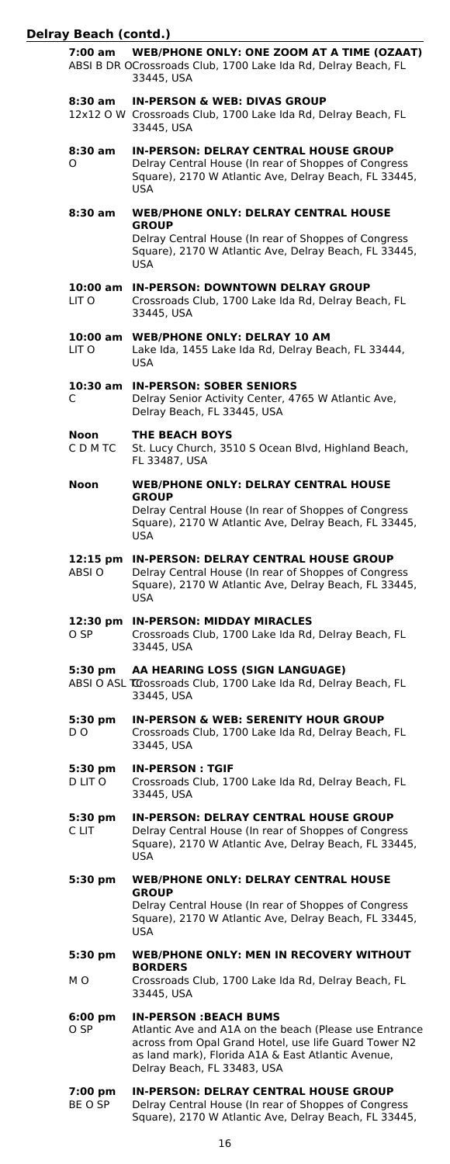| 7:00 am                   | <b>WEB/PHONE ONLY: ONE ZOOM AT A TIME (OZAAT)</b><br>ABSI B DR OCrossroads Club, 1700 Lake Ida Rd, Delray Beach, FL<br>33445, USA                                                                                                     |
|---------------------------|---------------------------------------------------------------------------------------------------------------------------------------------------------------------------------------------------------------------------------------|
| 8:30 am                   | <b>IN-PERSON &amp; WEB: DIVAS GROUP</b><br>12x12 O W Crossroads Club, 1700 Lake Ida Rd, Delray Beach, FL<br>33445, USA                                                                                                                |
| 8:30 am<br>O              | <b>IN-PERSON: DELRAY CENTRAL HOUSE GROUP</b><br>Delray Central House (In rear of Shoppes of Congress<br>Square), 2170 W Atlantic Ave, Delray Beach, FL 33445,<br><b>USA</b>                                                           |
| 8:30 am                   | <b>WEB/PHONE ONLY: DELRAY CENTRAL HOUSE</b>                                                                                                                                                                                           |
|                           | <b>GROUP</b><br>Delray Central House (In rear of Shoppes of Congress<br>Square), 2170 W Atlantic Ave, Delray Beach, FL 33445,<br><b>USA</b>                                                                                           |
| 10:00 am<br>LIT O         | <b>IN-PERSON: DOWNTOWN DELRAY GROUP</b><br>Crossroads Club, 1700 Lake Ida Rd, Delray Beach, FL<br>33445, USA                                                                                                                          |
| LIT O                     | 10:00 am WEB/PHONE ONLY: DELRAY 10 AM<br>Lake Ida, 1455 Lake Ida Rd, Delray Beach, FL 33444,<br>USA.                                                                                                                                  |
| 10:30 am<br>C             | <b>IN-PERSON: SOBER SENIORS</b><br>Delray Senior Activity Center, 4765 W Atlantic Ave,<br>Delray Beach, FL 33445, USA                                                                                                                 |
| Noon<br>C D M TC          | <b>THE BEACH BOYS</b><br>St. Lucy Church, 3510 S Ocean Blvd, Highland Beach,<br>FL 33487, USA                                                                                                                                         |
| Noon                      | <b>WEB/PHONE ONLY: DELRAY CENTRAL HOUSE</b>                                                                                                                                                                                           |
|                           | <b>GROUP</b><br>Delray Central House (In rear of Shoppes of Congress<br>Square), 2170 W Atlantic Ave, Delray Beach, FL 33445,<br>USA                                                                                                  |
| 12:15 pm<br>ABSI O        | <b>IN-PERSON: DELRAY CENTRAL HOUSE GROUP</b><br>Delray Central House (In rear of Shoppes of Congress<br>Square), 2170 W Atlantic Ave, Delray Beach, FL 33445,<br><b>USA</b>                                                           |
| 12:30 pm<br>O SP          | <b>IN-PERSON: MIDDAY MIRACLES</b><br>Crossroads Club, 1700 Lake Ida Rd, Delray Beach, FL<br>33445, USA                                                                                                                                |
| 5:30 pm                   | AA HEARING LOSS (SIGN LANGUAGE)<br>ABSI O ASL TOOSSroads Club, 1700 Lake Ida Rd, Delray Beach, FL<br>33445, USA                                                                                                                       |
| 5:30 pm<br>D O            | <b>IN-PERSON &amp; WEB: SERENITY HOUR GROUP</b><br>Crossroads Club, 1700 Lake Ida Rd, Delray Beach, FL<br>33445, USA                                                                                                                  |
| 5:30 pm<br>D LIT O        | <b>IN-PERSON: TGIF</b><br>Crossroads Club, 1700 Lake Ida Rd, Delray Beach, FL<br>33445, USA                                                                                                                                           |
| 5:30 pm<br>C LIT          | <b>IN-PERSON: DELRAY CENTRAL HOUSE GROUP</b><br>Delray Central House (In rear of Shoppes of Congress<br>Square), 2170 W Atlantic Ave, Delray Beach, FL 33445,<br><b>USA</b>                                                           |
| 5:30 pm                   | <b>WEB/PHONE ONLY: DELRAY CENTRAL HOUSE</b>                                                                                                                                                                                           |
|                           | <b>GROUP</b><br>Delray Central House (In rear of Shoppes of Congress<br>Square), 2170 W Atlantic Ave, Delray Beach, FL 33445,<br><b>USA</b>                                                                                           |
| 5:30 pm                   | <b>WEB/PHONE ONLY: MEN IN RECOVERY WITHOUT</b>                                                                                                                                                                                        |
| M O                       | <b>BORDERS</b><br>Crossroads Club, 1700 Lake Ida Rd, Delray Beach, FL<br>33445, USA                                                                                                                                                   |
| $6:00 \text{ pm}$<br>O SP | <b>IN-PERSON : BEACH BUMS</b><br>Atlantic Ave and A1A on the beach (Please use Entrance<br>across from Opal Grand Hotel, use life Guard Tower N2<br>as land mark), Florida A1A & East Atlantic Avenue,<br>Delray Beach, FL 33483, USA |
| 7:00 pm<br>BE O SP        | <b>IN-PERSON: DELRAY CENTRAL HOUSE GROUP</b><br>Delray Central House (In rear of Shoppes of Congress<br>Square), 2170 W Atlantic Ave, Delray Beach, FL 33445,                                                                         |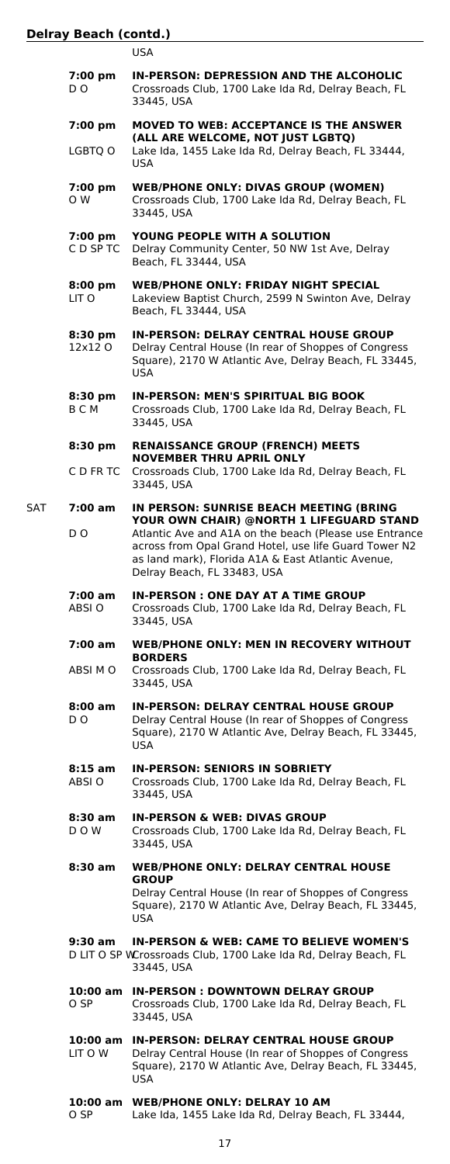| . .<br>w<br>۰.<br>٠ |
|---------------------|
|---------------------|

|     | 7:00 pm<br>D O             | IN-PERSON: DEPRESSION AND THE ALCOHOLIC<br>Crossroads Club, 1700 Lake Ida Rd, Delray Beach, FL<br>33445, USA                                                                                         |
|-----|----------------------------|------------------------------------------------------------------------------------------------------------------------------------------------------------------------------------------------------|
|     | 7:00 pm<br>LGBTQ O         | <b>MOVED TO WEB: ACCEPTANCE IS THE ANSWER</b><br>(ALL ARE WELCOME, NOT JUST LGBTQ)<br>Lake Ida, 1455 Lake Ida Rd, Delray Beach, FL 33444,                                                            |
|     | 7:00 pm<br>O W             | USA<br><b>WEB/PHONE ONLY: DIVAS GROUP (WOMEN)</b><br>Crossroads Club, 1700 Lake Ida Rd, Delray Beach, FL                                                                                             |
|     |                            | 33445, USA                                                                                                                                                                                           |
|     | 7:00 pm<br>C D SP TC       | YOUNG PEOPLE WITH A SOLUTION<br>Delray Community Center, 50 NW 1st Ave, Delray<br>Beach, FL 33444, USA                                                                                               |
|     | $8:00 \text{ pm}$<br>LIT O | <b>WEB/PHONE ONLY: FRIDAY NIGHT SPECIAL</b><br>Lakeview Baptist Church, 2599 N Swinton Ave, Delray<br>Beach, FL 33444, USA                                                                           |
|     | 8:30 pm<br>12x12 O         | <b>IN-PERSON: DELRAY CENTRAL HOUSE GROUP</b><br>Delray Central House (In rear of Shoppes of Congress<br>Square), 2170 W Atlantic Ave, Delray Beach, FL 33445,<br><b>USA</b>                          |
|     | 8:30 pm<br>ВСМ             | <b>IN-PERSON: MEN'S SPIRITUAL BIG BOOK</b><br>Crossroads Club, 1700 Lake Ida Rd, Delray Beach, FL<br>33445, USA                                                                                      |
|     | 8:30 pm                    | <b>RENAISSANCE GROUP (FRENCH) MEETS</b><br><b>NOVEMBER THRU APRIL ONLY</b>                                                                                                                           |
|     | C D FR TC                  | Crossroads Club, 1700 Lake Ida Rd, Delray Beach, FL<br>33445, USA                                                                                                                                    |
| SAT | 7:00 am                    | IN PERSON: SUNRISE BEACH MEETING (BRING<br>YOUR OWN CHAIR) @NORTH 1 LIFEGUARD STAND                                                                                                                  |
|     | D <sub>O</sub>             | Atlantic Ave and A1A on the beach (Please use Entrance<br>across from Opal Grand Hotel, use life Guard Tower N2<br>as land mark), Florida A1A & East Atlantic Avenue,<br>Delray Beach, FL 33483, USA |
|     | 7:00 am<br>ABSI O          | <b>IN-PERSON: ONE DAY AT A TIME GROUP</b><br>Crossroads Club, 1700 Lake Ida Rd, Delray Beach, FL<br>33445, USA                                                                                       |
|     | 7:00 am                    | <b>WEB/PHONE ONLY: MEN IN RECOVERY WITHOUT</b><br><b>BORDERS</b>                                                                                                                                     |
|     | ABSI M O                   | Crossroads Club, 1700 Lake Ida Rd, Delray Beach, FL<br>33445, USA                                                                                                                                    |
|     | 8:00 am<br>D O             | <b>IN-PERSON: DELRAY CENTRAL HOUSE GROUP</b><br>Delray Central House (In rear of Shoppes of Congress<br>Square), 2170 W Atlantic Ave, Delray Beach, FL 33445,<br>USA                                 |
|     | 8:15 am<br>ABSI O          | <b>IN-PERSON: SENIORS IN SOBRIETY</b><br>Crossroads Club, 1700 Lake Ida Rd, Delray Beach, FL<br>33445, USA                                                                                           |
|     | 8:30 am<br>D O W           | <b>IN-PERSON &amp; WEB: DIVAS GROUP</b><br>Crossroads Club, 1700 Lake Ida Rd, Delray Beach, FL<br>33445, USA                                                                                         |
|     | 8:30 am                    | <b>WEB/PHONE ONLY: DELRAY CENTRAL HOUSE</b><br><b>GROUP</b><br>Delray Central House (In rear of Shoppes of Congress<br>Square), 2170 W Atlantic Ave, Delray Beach, FL 33445,<br>USA                  |
|     | 9:30 am                    | <b>IN-PERSON &amp; WEB: CAME TO BELIEVE WOMEN'S</b><br>D LIT O SP WCrossroads Club, 1700 Lake Ida Rd, Delray Beach, FL<br>33445, USA                                                                 |
|     | O SP                       | 10:00 am IN-PERSON : DOWNTOWN DELRAY GROUP<br>Crossroads Club, 1700 Lake Ida Rd, Delray Beach, FL<br>33445, USA                                                                                      |
|     | 10:00 am<br>LIT O W        | <b>IN-PERSON: DELRAY CENTRAL HOUSE GROUP</b><br>Delray Central House (In rear of Shoppes of Congress<br>Square), 2170 W Atlantic Ave, Delray Beach, FL 33445,<br>USA                                 |
|     |                            | 10:00 am WEB/PHONE ONLY: DELRAY 10 AM                                                                                                                                                                |

O SP Lake Ida, 1455 Lake Ida Rd, Delray Beach, FL 33444,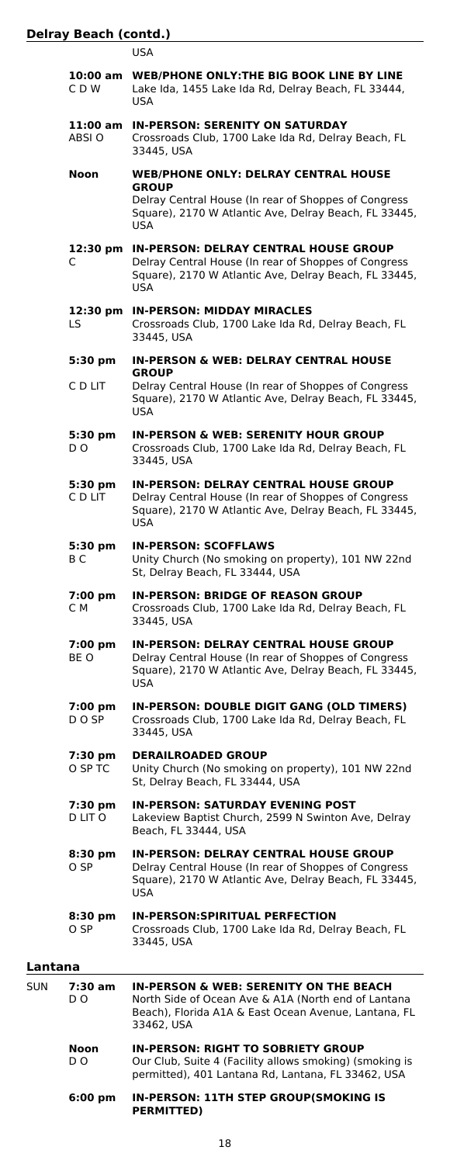USA

|            | CDW                | 10:00 am WEB/PHONE ONLY: THE BIG BOOK LINE BY LINE<br>Lake Ida, 1455 Lake Ida Rd, Delray Beach, FL 33444,<br>USA                                                               |
|------------|--------------------|--------------------------------------------------------------------------------------------------------------------------------------------------------------------------------|
|            | 11:00 am<br>ABSI O | <b>IN-PERSON: SERENITY ON SATURDAY</b><br>Crossroads Club, 1700 Lake Ida Rd, Delray Beach, FL<br>33445, USA                                                                    |
|            | Noon               | <b>WEB/PHONE ONLY: DELRAY CENTRAL HOUSE</b>                                                                                                                                    |
|            |                    | <b>GROUP</b><br>Delray Central House (In rear of Shoppes of Congress<br>Square), 2170 W Atlantic Ave, Delray Beach, FL 33445,<br><b>USA</b>                                    |
|            | 12:30 pm<br>C      | <b>IN-PERSON: DELRAY CENTRAL HOUSE GROUP</b><br>Delray Central House (In rear of Shoppes of Congress<br>Square), 2170 W Atlantic Ave, Delray Beach, FL 33445,<br><b>USA</b>    |
|            | 12:30 pm<br>LS     | <b>IN-PERSON: MIDDAY MIRACLES</b><br>Crossroads Club, 1700 Lake Ida Rd, Delray Beach, FL<br>33445, USA                                                                         |
|            | 5:30 pm            | <b>IN-PERSON &amp; WEB: DELRAY CENTRAL HOUSE</b>                                                                                                                               |
|            | C D LIT            | <b>GROUP</b><br>Delray Central House (In rear of Shoppes of Congress<br>Square), 2170 W Atlantic Ave, Delray Beach, FL 33445,<br>USA                                           |
|            | 5:30 pm<br>D O     | <b>IN-PERSON &amp; WEB: SERENITY HOUR GROUP</b><br>Crossroads Club, 1700 Lake Ida Rd, Delray Beach, FL<br>33445, USA                                                           |
|            | 5:30 pm<br>C D LIT | <b>IN-PERSON: DELRAY CENTRAL HOUSE GROUP</b><br>Delray Central House (In rear of Shoppes of Congress<br>Square), 2170 W Atlantic Ave, Delray Beach, FL 33445,<br><b>USA</b>    |
|            | 5:30 pm<br>B C     | <b>IN-PERSON: SCOFFLAWS</b><br>Unity Church (No smoking on property), 101 NW 22nd<br>St, Delray Beach, FL 33444, USA                                                           |
|            | 7:00 pm<br>C M     | <b>IN-PERSON: BRIDGE OF REASON GROUP</b><br>Crossroads Club, 1700 Lake Ida Rd, Delray Beach, FL<br>33445, USA                                                                  |
|            | 7:00 pm<br>BE O    | <b>IN-PERSON: DELRAY CENTRAL HOUSE GROUP</b><br>Delray Central House (In rear of Shoppes of Congress<br>Square), 2170 W Atlantic Ave, Delray Beach, FL 33445,<br>USA           |
|            | 7:00 pm<br>D O SP  | IN-PERSON: DOUBLE DIGIT GANG (OLD TIMERS)<br>Crossroads Club, 1700 Lake Ida Rd, Delray Beach, FL<br>33445, USA                                                                 |
|            | 7:30 pm<br>O SP TC | <b>DERAILROADED GROUP</b><br>Unity Church (No smoking on property), 101 NW 22nd<br>St, Delray Beach, FL 33444, USA                                                             |
|            | 7:30 pm<br>D LIT O | <b>IN-PERSON: SATURDAY EVENING POST</b><br>Lakeview Baptist Church, 2599 N Swinton Ave, Delray<br>Beach, FL 33444, USA                                                         |
|            | $8:30$ pm<br>O SP  | <b>IN-PERSON: DELRAY CENTRAL HOUSE GROUP</b><br>Delray Central House (In rear of Shoppes of Congress<br>Square), 2170 W Atlantic Ave, Delray Beach, FL 33445,<br>USA.          |
|            | 8:30 pm<br>O SP    | <b>IN-PERSON:SPIRITUAL PERFECTION</b><br>Crossroads Club, 1700 Lake Ida Rd, Delray Beach, FL<br>33445, USA                                                                     |
| Lantana    |                    |                                                                                                                                                                                |
| <b>SUN</b> | 7:30 am<br>D O     | <b>IN-PERSON &amp; WEB: SERENITY ON THE BEACH</b><br>North Side of Ocean Ave & A1A (North end of Lantana<br>Beach), Florida A1A & East Ocean Avenue, Lantana, FL<br>33462, USA |
|            | Noon<br>D O        | <b>IN-PERSON: RIGHT TO SOBRIETY GROUP</b><br>Our Club, Suite 4 (Facility allows smoking) (smoking is                                                                           |

**6:00 pm IN-PERSON: 11TH STEP GROUP(SMOKING IS**

**PERMITTED)**

permitted), 401 Lantana Rd, Lantana, FL 33462, USA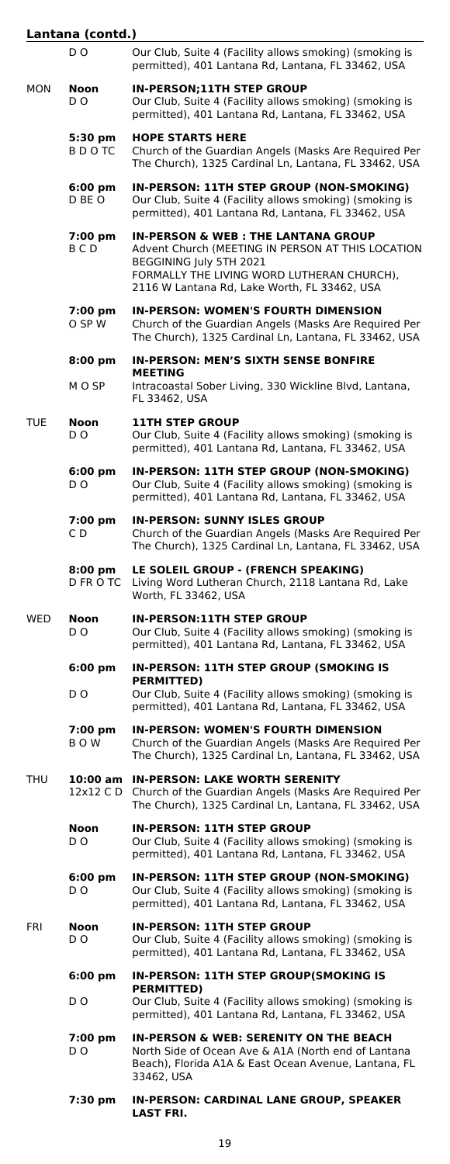| Lantana (contd.) |                             |                                                                                                                                                                                                                             |
|------------------|-----------------------------|-----------------------------------------------------------------------------------------------------------------------------------------------------------------------------------------------------------------------------|
|                  | D O                         | Our Club, Suite 4 (Facility allows smoking) (smoking is<br>permitted), 401 Lantana Rd, Lantana, FL 33462, USA                                                                                                               |
| MON              | Noon<br>D O                 | <b>IN-PERSON;11TH STEP GROUP</b><br>Our Club, Suite 4 (Facility allows smoking) (smoking is<br>permitted), 401 Lantana Rd, Lantana, FL 33462, USA                                                                           |
|                  | 5:30 pm<br>B D O TC         | <b>HOPE STARTS HERE</b><br>Church of the Guardian Angels (Masks Are Required Per<br>The Church), 1325 Cardinal Ln, Lantana, FL 33462, USA                                                                                   |
|                  | $6:00 \text{ pm}$<br>D BE O | IN-PERSON: 11TH STEP GROUP (NON-SMOKING)<br>Our Club, Suite 4 (Facility allows smoking) (smoking is<br>permitted), 401 Lantana Rd, Lantana, FL 33462, USA                                                                   |
|                  | 7:00 pm<br>BCD              | <b>IN-PERSON &amp; WEB: THE LANTANA GROUP</b><br>Advent Church (MEETING IN PERSON AT THIS LOCATION<br>BEGGINING July 5TH 2021<br>FORMALLY THE LIVING WORD LUTHERAN CHURCH),<br>2116 W Lantana Rd, Lake Worth, FL 33462, USA |
|                  | 7:00 pm<br>O SP W           | <b>IN-PERSON: WOMEN'S FOURTH DIMENSION</b><br>Church of the Guardian Angels (Masks Are Required Per<br>The Church), 1325 Cardinal Ln, Lantana, FL 33462, USA                                                                |
|                  | $8:00~\mathrm{pm}$          | IN-PERSON: MEN'S SIXTH SENSE BONFIRE                                                                                                                                                                                        |
|                  | M O SP                      | <b>MEETING</b><br>Intracoastal Sober Living, 330 Wickline Blvd, Lantana,<br>FL 33462, USA                                                                                                                                   |
| TUE              | Noon<br>D O                 | <b>11TH STEP GROUP</b><br>Our Club, Suite 4 (Facility allows smoking) (smoking is<br>permitted), 401 Lantana Rd, Lantana, FL 33462, USA                                                                                     |
|                  | 6:00 pm<br>D O              | IN-PERSON: 11TH STEP GROUP (NON-SMOKING)<br>Our Club, Suite 4 (Facility allows smoking) (smoking is<br>permitted), 401 Lantana Rd, Lantana, FL 33462, USA                                                                   |
|                  | 7:00 pm<br>C D.             | <b>IN-PERSON: SUNNY ISLES GROUP</b><br>Church of the Guardian Angels (Masks Are Required Per<br>The Church), 1325 Cardinal Ln, Lantana, FL 33462, USA                                                                       |
|                  | 8:00 pm<br>D FR O TC        | LE SOLEIL GROUP - (FRENCH SPEAKING)<br>Living Word Lutheran Church, 2118 Lantana Rd, Lake<br>Worth, FL 33462, USA                                                                                                           |
| WED              | Noon<br>D O                 | IN-PERSON:11TH STEP GROUP<br>Our Club, Suite 4 (Facility allows smoking) (smoking is<br>permitted), 401 Lantana Rd, Lantana, FL 33462, USA                                                                                  |
|                  | 6:00 pm                     | <b>IN-PERSON: 11TH STEP GROUP (SMOKING IS</b>                                                                                                                                                                               |
|                  | D O                         | <b>PERMITTED)</b><br>Our Club, Suite 4 (Facility allows smoking) (smoking is<br>permitted), 401 Lantana Rd, Lantana, FL 33462, USA                                                                                          |
|                  | 7:00 pm<br>воw              | <b>IN-PERSON: WOMEN'S FOURTH DIMENSION</b><br>Church of the Guardian Angels (Masks Are Required Per<br>The Church), 1325 Cardinal Ln, Lantana, FL 33462, USA                                                                |
| THU              |                             | 10:00 am IN-PERSON: LAKE WORTH SERENITY<br>12x12 C D Church of the Guardian Angels (Masks Are Required Per<br>The Church), 1325 Cardinal Ln, Lantana, FL 33462, USA                                                         |
|                  | Noon<br>D O                 | <b>IN-PERSON: 11TH STEP GROUP</b><br>Our Club, Suite 4 (Facility allows smoking) (smoking is<br>permitted), 401 Lantana Rd, Lantana, FL 33462, USA                                                                          |
|                  | 6:00 pm<br>D O              | IN-PERSON: 11TH STEP GROUP (NON-SMOKING)<br>Our Club, Suite 4 (Facility allows smoking) (smoking is<br>permitted), 401 Lantana Rd, Lantana, FL 33462, USA                                                                   |
| FRI              | Noon<br>D O                 | <b>IN-PERSON: 11TH STEP GROUP</b><br>Our Club, Suite 4 (Facility allows smoking) (smoking is<br>permitted), 401 Lantana Rd, Lantana, FL 33462, USA                                                                          |
|                  | $6:00 \text{ pm}$<br>D O    | IN-PERSON: 11TH STEP GROUP(SMOKING IS<br><b>PERMITTED)</b><br>Our Club, Suite 4 (Facility allows smoking) (smoking is<br>permitted), 401 Lantana Rd, Lantana, FL 33462, USA                                                 |
|                  | 7:00 pm<br>D O              | IN-PERSON & WEB: SERENITY ON THE BEACH<br>North Side of Ocean Ave & A1A (North end of Lantana<br>Beach), Florida A1A & East Ocean Avenue, Lantana, FL<br>33462, USA                                                         |
|                  | 7:30 pm                     | IN-PERSON: CARDINAL LANE GROUP, SPEAKER<br><b>LAST FRI.</b>                                                                                                                                                                 |